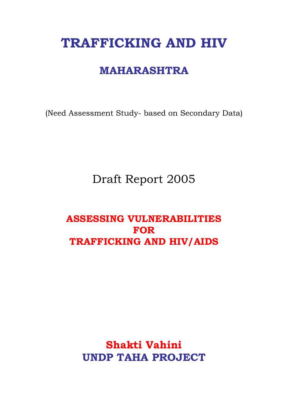# **TRAFFICKING AND HIV**

## **MAHARASHTRA**

(Need Assessment Study- based on Secondary Data)

## Draft Report 2005

### **ASSESSING VULNERABILITIES FOR TRAFFICKING AND HIV/AIDS**

## **Shakti Vahini UNDP TAHA PROJECT**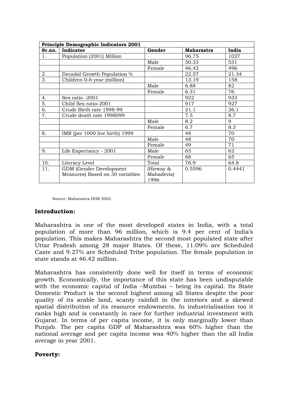|        | Principle Demographic Indicators 2001 |                    |                   |        |  |  |  |  |  |  |
|--------|---------------------------------------|--------------------|-------------------|--------|--|--|--|--|--|--|
| Sr.no. | Indicator                             | Gender             | <b>Maharastra</b> | India  |  |  |  |  |  |  |
| 1.     | Population (2001) Million             |                    | 96.75             | 1027   |  |  |  |  |  |  |
|        |                                       | Male               | 50.33             | 531    |  |  |  |  |  |  |
|        |                                       | Female             | 46.42             | 496    |  |  |  |  |  |  |
| 2.     | Decadal Growth Population %           |                    | 22.57             | 21.34  |  |  |  |  |  |  |
| 3.     | Children 0-6 year (million)           |                    | 13.19             | 158    |  |  |  |  |  |  |
|        |                                       | Male               | 6.88              | 82     |  |  |  |  |  |  |
|        |                                       | Female             | 6.31              | 76     |  |  |  |  |  |  |
| 4.     | Sex ratio -2001                       |                    | 922               | 933    |  |  |  |  |  |  |
| 5.     | Child Sex ratio-2001                  |                    | 917               | 927    |  |  |  |  |  |  |
| 6.     | Crude Birth rate 1998-99              |                    | 21.1              | 26.1   |  |  |  |  |  |  |
| 7.     | Crude death rate 1998099              |                    | 7.5               | 8.7    |  |  |  |  |  |  |
|        |                                       | Male               | 8.2               | 9      |  |  |  |  |  |  |
|        |                                       | Female             | 6.7               | 8.3    |  |  |  |  |  |  |
| 8.     | IMR (per $1000$ live birth) 1999      |                    | 48                | 70     |  |  |  |  |  |  |
|        |                                       | Male               | 48                | 70     |  |  |  |  |  |  |
|        |                                       | Female             | 49                | 71     |  |  |  |  |  |  |
| 9.     | Life Expectancy - 2001                | Male               | 65                | 62     |  |  |  |  |  |  |
|        |                                       | Female             | 68                | 65     |  |  |  |  |  |  |
| 10.    | Literacy Level                        | Total              | 76.9              | 64.8   |  |  |  |  |  |  |
| 11.    | GDM (Gender Development               | (Hirway &          | 0.5596            | 0.4441 |  |  |  |  |  |  |
|        | Measures) Based on 30 variables       | Mahadevia)<br>1996 |                   |        |  |  |  |  |  |  |

Source: Maharastra HDR 2002.

#### **Introduction:**

Maharashtra is one of the most developed states in India, with a total population of more than 96 million, which is 9.4 per cent of India's population. This makes Maharashtra the second most populated state after Uttar Pradesh among 28 major States. Of these, 11.09% are Scheduled Caste and 9.27% are Scheduled Tribe population. The female population in state stands at 46.42 million.

Maharashtra has consistently done well for itself in terms of economic growth. Economically, the importance of this state has been undisputable with the economic capital of India –Mumbai – being its capital. Its State Domestic Product is the second highest among all States despite the poor quality of its arable land, scanty rainfall in the interiors and a skewed spatial distribution of its resource endowments. In industrialisation too it ranks high and is constantly in race for further industrial investment with Gujarat. In terms of per capita income, it is only marginally lower than Punjab. The per capita GDP of Maharashtra was 60% higher than the national average and per capita income was 40% higher than the all India average in year 2001.

#### **Poverty:**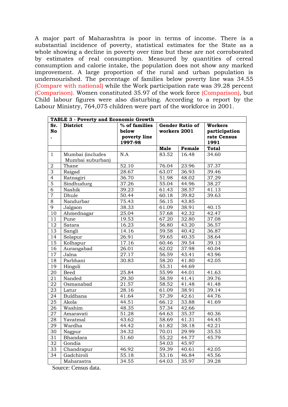A major part of Maharashtra is poor in terms of income. There is a substantial incidence of poverty, statistical estimates for the State as a whole showing a decline in poverty over time but these are not corroborated by estimates of real consumption. Measured by quantities of cereal consumption and calorie intake, the population does not show any marked improvement. A large proportion of the rural and urban population is undernourished. The percentage of families below poverty line was 34.55 (Compare with national) while the Work participation rate was 39.28 percent (Comparison). Women constituted 35.97 of the work force (Comparison), but Child labour figures were also disturbing. According to a report by the Labour Ministry, 764,075 children were part of the workforce in 2001.

|                  | <b>TABLE 3 - Poverty and Economic Growth</b> |                                                   |                                        |        |                                                        |  |  |  |  |
|------------------|----------------------------------------------|---------------------------------------------------|----------------------------------------|--------|--------------------------------------------------------|--|--|--|--|
| Sr.<br><b>No</b> | <b>District</b>                              | % of families<br>below<br>poverty line<br>1997-98 | <b>Gender Ratio of</b><br>workers 2001 |        | <b>Workers</b><br>participation<br>rate Census<br>1991 |  |  |  |  |
|                  |                                              |                                                   | <b>Male</b>                            | Female | <b>Total</b>                                           |  |  |  |  |
| $\mathbf{1}$     | Mumbai (includes<br>Mumbai suburban)         | N.A                                               | 83.52                                  | 16.48  | 34.60                                                  |  |  |  |  |
| $\overline{2}$   | Thane                                        | 52.10                                             | 76.04                                  | 23.96  | 37.37                                                  |  |  |  |  |
| $\overline{3}$   | Raigad                                       | 28.67                                             | 63.07                                  | 36.93  | 39.46                                                  |  |  |  |  |
| $\overline{4}$   | Ratnagiri                                    | 36.70                                             | 51.98                                  | 48.02  | 37.29                                                  |  |  |  |  |
| $\overline{5}$   | Sindhudurg                                   | 37.26                                             | 55.04                                  | 44.96  | 38.27                                                  |  |  |  |  |
| $\overline{6}$   | Nashik                                       | 39.23                                             | 61.43                                  | 38.57  | 41.13                                                  |  |  |  |  |
| $\overline{7}$   | Dhule                                        | 50.44                                             | 60.18                                  | 39.82  | 39.63                                                  |  |  |  |  |
| $\overline{8}$   | Nandurbar                                    | 75.43                                             | 56.15                                  | 43.85  |                                                        |  |  |  |  |
| 9                | Jalgaon                                      | 38.33                                             | 61.09                                  | 38.91  | 40.15                                                  |  |  |  |  |
| 10               | Ahmednagar                                   | 25.04                                             | 57.68                                  | 42.32  | 42.47                                                  |  |  |  |  |
| 11               | Pune                                         | 19.53                                             | 67.20                                  | 32.80  | 37.08                                                  |  |  |  |  |
| $\overline{12}$  | Satara                                       | 16.23                                             | 56.80                                  | 43.20  | 36.57                                                  |  |  |  |  |
| 13               | Sangli                                       | 14.16                                             | 59.58                                  | 40.42  | 36.87                                                  |  |  |  |  |
| 14               | Solapur                                      | 26.91                                             | 59.65                                  | 40.35  | 38.64                                                  |  |  |  |  |
| 15               | Kolhapur                                     | 17.16                                             | 60.46                                  | 39.54  | 39.13                                                  |  |  |  |  |
| 16               | Aurangabad                                   | 26.01                                             | 62.02                                  | 37.98  | 40.04                                                  |  |  |  |  |
| 17               | Jalna                                        | 27.17                                             | 56.59                                  | 43.41  | 43.96                                                  |  |  |  |  |
| 18               | Parbhani                                     | 30.83                                             | 58.20                                  | 41.80  | 42.05                                                  |  |  |  |  |
| 19               | Hingoli                                      |                                                   | 55.31                                  | 44.69  |                                                        |  |  |  |  |
| 20               | <b>Beed</b>                                  | 25.84                                             | 55.99                                  | 44.01  | 41.63                                                  |  |  |  |  |
| 21               | Nanded                                       | 29.30                                             | 58.59                                  | 41.41  | 39.76                                                  |  |  |  |  |
| 22               | Osmanabad                                    | 21.57                                             | 58.52                                  | 41.48  | 41.48                                                  |  |  |  |  |
| 23               | Latur                                        | 28.16                                             | 61.09                                  | 38.91  | 39.14                                                  |  |  |  |  |
| 24               | Buldhana                                     | 41.64                                             | 57.39                                  | 42.61  | 44.76                                                  |  |  |  |  |
| 25               | Akola                                        | 44.51                                             | 66.12                                  | 33.88  | 41.69                                                  |  |  |  |  |
| 26               | Washim                                       | 48.35                                             | 57.34                                  | 42.66  |                                                        |  |  |  |  |
| 27               | Amaravati                                    | 51.28                                             | 64.63                                  | 35.37  | 40.36                                                  |  |  |  |  |
| 28               | Yavatmal                                     | 43.62                                             | 58.69                                  | 41.31  | 44.45                                                  |  |  |  |  |
| 29               | Wardha                                       | 44.42                                             | 61.82                                  | 38.18  | 42.21                                                  |  |  |  |  |
| 30               | Nagpur                                       | 34.32                                             | 70.01                                  | 29.99  | 35.53                                                  |  |  |  |  |
| 31               | <b>Bhandara</b>                              | 51.60                                             | 55.22                                  | 44.77  | 45.79                                                  |  |  |  |  |
| 32               | Gondia                                       |                                                   | 54.03                                  | 45.97  |                                                        |  |  |  |  |
| 33               | Chandrapur                                   | 46.92                                             | 59.39                                  | 40.61  | 42.05                                                  |  |  |  |  |
| 34               | Gadchiroli                                   | $\overline{5}5.18$                                | 53.16                                  | 46.84  | 45.56                                                  |  |  |  |  |
|                  | Maharastra                                   | 34.55                                             | $\sqrt{64.03}$                         | 35.97  | 39.28                                                  |  |  |  |  |

Source: Census data.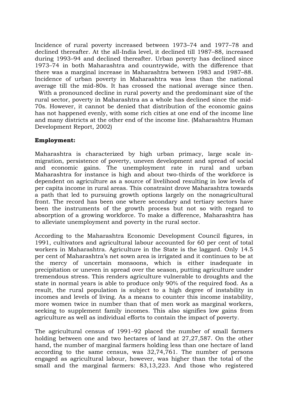Incidence of rural poverty increased between 1973–74 and 1977–78 and declined thereafter. At the all-India level, it declined till 1987–88, increased during 1993–94 and declined thereafter. Urban poverty has declined since 1973–74 in both Maharashtra and countrywide, with the difference that there was a marginal increase in Maharashtra between 1983 and 1987–88. Incidence of urban poverty in Maharashtra was less than the national average till the mid-80s. It has crossed the national average since then. With a pronounced decline in rural poverty and the predominant size of the rural sector, poverty in Maharashtra as a whole has declined since the mid-70s. However, it cannot be denied that distribution of the economic gains has not happened evenly, with some rich cities at one end of the income line and many districts at the other end of the income line. (Maharashtra Human Development Report, 2002)

#### **Employment:**

Maharashtra is characterized by high urban primacy, large scale inmigration, persistence of poverty, uneven development and spread of social and economic gains. The unemployment rate in rural and urban Maharashtra for instance is high and about two-thirds of the workforce is dependent on agriculture as a source of livelihood resulting in low levels of per capita income in rural areas. This constraint drove Maharashtra towards a path that led to pursuing growth options largely on the nonagricultural front. The record has been one where secondary and tertiary sectors have been the instruments of the growth process but not so with regard to absorption of a growing workforce. To make a difference, Maharashtra has to alleviate unemployment and poverty in the rural sector.

According to the Maharashtra Economic Development Council figures, in 1991, cultivators and agricultural labour accounted for 60 per cent of total workers in Maharashtra. Agriculture in the State is the laggard. Only 14.5 per cent of Maharashtra's net sown area is irrigated and it continues to be at the mercy of uncertain monsoons, which is either inadequate in precipitation or uneven in spread over the season, putting agriculture under tremendous stress. This renders agriculture vulnerable to droughts and the state in normal years is able to produce only 90% of the required food. As a result, the rural population is subject to a high degree of instability in incomes and levels of living. As a means to counter this income instability, more women twice in number than that of men work as marginal workers, seeking to supplement family incomes. This also signifies low gains from agriculture as well as individual efforts to contain the impact of poverty.

The agricultural census of 1991–92 placed the number of small farmers holding between one and two hectares of land at 27,27,587. On the other hand, the number of marginal farmers holding less than one hectare of land according to the same census, was 32,74,761. The number of persons engaged as agricultural labour, however, was higher than the total of the small and the marginal farmers: 83,13,223. And those who registered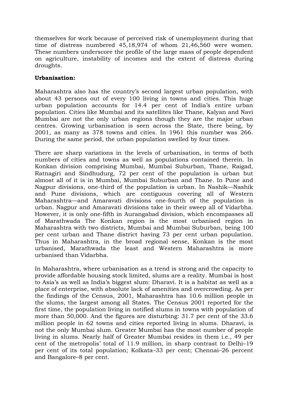themselves for work because of perceived risk of unemployment during that time of distress numbered 45,18,974 of whom 21,46,560 were women. These numbers underscore the profile of the large mass of people dependent on agriculture, instability of incomes and the extent of distress during droughts.

#### **Urbanisation:**

Maharashtra also has the country's second largest urban population, with about 43 persons out of every 100 living in towns and cities. This huge urban population accounts for 14.4 per cent of India's entire urban population. Cities like Mumbai and its satellites like Thane, Kalyan and Navi Mumbai are not the only urban regions though they are the major urban centres. Growing urbanisation is seen across the State, there being, by 2001, as many as 378 towns and cities. In 1961 this number was 266. During the same period, the urban population swelled by four times.

There are sharp variations in the levels of urbanisation, in terms of both numbers of cities and towns as well as populations contained therein. In Konkan division comprising Mumbai, Mumbai Suburban, Thane, Raigad, Ratnagiri and Sindhudurg, 72 per cent of the population is urban but almost all of it is in Mumbai, Mumbai Suburban and Thane. In Pune and Nagpur divisions, one-third of the population is urban. In Nashik—Nashik and Pune divisions, which are contiguous covering all of Western Maharashtra—and Amaravati divisions one-fourth of the population is urban. Nagpur and Amaravati divisions take in their sweep all of Vidarbha. However, it is only one-fifth in Aurangabad division, which encompasses all of Marathwada The Konkan region is the most urbanised region in Maharashtra with two districts, Mumbai and Mumbai Suburban, being 100 per cent urban and Thane district having 73 per cent urban population. Thus in Maharashtra, in the broad regional sense, Konkan is the most urbanised, Marathwada the least and Western Maharashtra is more urbanised than Vidarbha.

In Maharashtra, where urbanisation as a trend is strong and the capacity to provide affordable housing stock limited, slums are a reality. Mumbai is host to Asia's as well as India's biggest slum: Dharavi. It is a habitat as well as a place of enterprise, with absolute lack of amenities and overcrowding. As per the findings of the Census, 2001, Maharashtra has 10.6 million people in the slums, the largest among all States. The Census 2001 reported for the first time, the population living in notified slums in towns with population of more than 50,000. And the figures are disturbing: 31.7 per cent of the 33.6 million people in 62 towns and cities reported living in slums. Dharavi, is not the only Mumbai slum. Greater Mumbai has the most number of people living in slums. Nearly half of Greater Mumbai resides in them i.e., 49 per cent of the metropolis' total of 11.9 million, in sharp contrast to Delhi–19 per cent of its total population; Kolkata–33 per cent; Chennai–26 percent and Bangalore–8 per cent.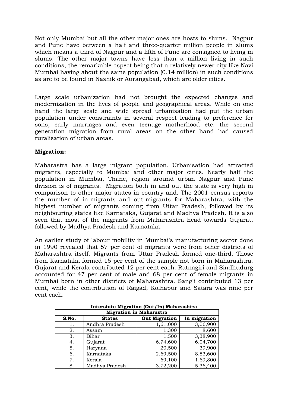Not only Mumbai but all the other major ones are hosts to slums. Nagpur and Pune have between a half and three-quarter million people in slums which means a third of Nagpur and a fifth of Pune are consigned to living in slums. The other major towns have less than a million living in such conditions, the remarkable aspect being that a relatively newer city like Navi Mumbai having about the same population (0.14 million) in such conditions as are to be found in Nashik or Aurangabad, which are older cities.

Large scale urbanization had not brought the expected changes and modernization in the lives of people and geographical areas. While on one hand the large scale and wide spread urbanisation had put the urban population under constraints in several respect leading to preference for sons, early marriages and even teenage motherhood etc. the second generation migration from rural areas on the other hand had caused ruralisation of urban areas.

#### **Migration:**

Maharastra has a large migrant population. Urbanisation had attracted migrants, especially to Mumbai and other major cities. Nearly half the population in Mumbai, Thane, region around urban Nagpur and Pune division is of migrants. Migration both in and out the state is very high in comparison to other major states in country and. The 2001 census reports the number of in-migrants and out-migrants for Maharashtra, with the highest number of migrants coming from Uttar Pradesh, followed by its neighbouring states like Karnataka, Gujarat and Madhya Pradesh. It is also seen that most of the migrants from Maharashtra head towards Gujarat, followed by Madhya Pradesh and Karnataka.

An earlier study of labour mobility in Mumbai's manufacturing sector done in 1990 revealed that 57 per cent of migrants were from other districts of Maharashtra itself. Migrants from Uttar Pradesh formed one-third. Those from Karnataka formed 15 per cent of the sample not born in Maharashtra. Gujarat and Kerala contributed 12 per cent each. Ratnagiri and Sindhudurg accounted for 47 per cent of male and 68 per cent of female migrants in Mumbai born in other districts of Maharashtra. Sangli contributed 13 per cent, while the contribution of Raigad, Kolhapur and Satara was nine per cent each.

| --------                                                       |                                |          |          |  |  |  |  |  |  |  |
|----------------------------------------------------------------|--------------------------------|----------|----------|--|--|--|--|--|--|--|
|                                                                | <b>Migration in Maharastra</b> |          |          |  |  |  |  |  |  |  |
| <b>Out Migration</b><br>S.No.<br><b>States</b><br>In migration |                                |          |          |  |  |  |  |  |  |  |
|                                                                | Andhra Pradesh                 | 1,61,000 | 3,56,900 |  |  |  |  |  |  |  |
| 2.                                                             | Assam                          | 1,300    | 8,600    |  |  |  |  |  |  |  |
| 3.                                                             | Bihar                          | 1,500    | 3,38,900 |  |  |  |  |  |  |  |
| 4.                                                             | Gujarat                        | 6,74,600 | 6,04,700 |  |  |  |  |  |  |  |
| 5.                                                             | Haryana                        | 20,500   | 39,900   |  |  |  |  |  |  |  |
| 6.                                                             | Karnataka                      | 2,69,500 | 8,83,600 |  |  |  |  |  |  |  |
| 7.                                                             | Kerala                         | 69,100   | 1,69,800 |  |  |  |  |  |  |  |
| 8.                                                             | Madhya Pradesh                 | 3,72,200 | 5,36,400 |  |  |  |  |  |  |  |

**Interstate Migration (Out/In) Maharashtra**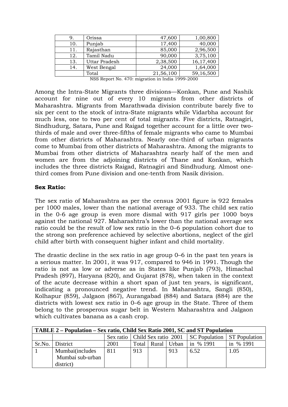|     | Orissa               | 47,600    | 1,00,800  |
|-----|----------------------|-----------|-----------|
| 10. | Punjab               | 17,400    | 40,000    |
| 11. | Rajasthan            | 85,000    | 2,96,500  |
| 12. | Tamil Nadu           | 90,000    | 3,75,100  |
| 13. | <b>Uttar Pradesh</b> | 2,38,500  | 16,17,400 |
| 14. | West Bengal          | 24,000    | 1,64,000  |
|     | Total                | 21,56,100 | 59,16,500 |

| NSS Report No. 470: migration in India 1999-2000 |  |  |
|--------------------------------------------------|--|--|
|                                                  |  |  |

Among the Intra-State Migrants three divisions—Konkan, Pune and Nashik account for nine out of every 10 migrants from other districts of Maharashtra. Migrants from Marathwada division contribute barely five to six per cent to the stock of intra-State migrants while Vidarbha account for much less, one to two per cent of total migrants. Five districts, Ratnagiri, Sindhudurg, Satara, Pune and Raigad together account for a little over twothirds of male and over three-fifths of female migrants who came to Mumbai from other districts of Maharashtra. Nearly one-third of urban migrants come to Mumbai from other districts of Maharashtra. Among the migrants to Mumbai from other districts of Maharashtra nearly half of the men and women are from the adjoining districts of Thane and Konkan, which includes the three districts Raigad, Ratnagiri and Sindhudurg. Almost onethird comes from Pune division and one-tenth from Nasik division.

#### **Sex Ratio:**

The sex ratio of Maharashtra as per the census 2001 figure is 922 females per 1000 males, lower than the national average of 933. The child sex ratio in the 0-6 age group is even more dismal with 917 girls per 1000 boys against the national 927. Maharashtra's lower than the national average sex ratio could be the result of low sex ratio in the 0–6 population cohort due to the strong son preference achieved by selective abortions, neglect of the girl child after birth with consequent higher infant and child mortality.

The drastic decline in the sex ratio in age group 0–6 in the past ten years is a serious matter. In 2001, it was 917, compared to 946 in 1991. Though the ratio is not as low or adverse as in States like Punjab (793), Himachal Pradesh (897), Haryana (820), and Gujarat (878), when taken in the context of the acute decrease within a short span of just ten years, is significant, indicating a pronounced negative trend. In Maharashtra, Sangli (850), Kolhapur (859), Jalgaon (867), Aurangabad (884) and Satara (884) are the districts with lowest sex ratio in 0–6 age group in the State. Three of them belong to the prosperous sugar belt in Western Maharashtra and Jalgaon which cultivates banana as a cash crop.

| TABLE 2 – Population – Sex ratio, Child Sex Ratio 2001, SC and ST Population |                  |      |                                                                  |               |       |           |           |  |  |
|------------------------------------------------------------------------------|------------------|------|------------------------------------------------------------------|---------------|-------|-----------|-----------|--|--|
|                                                                              |                  |      | Sex ratio   Child Sex ratio 2001   SC Population   ST Population |               |       |           |           |  |  |
| Sr.No.                                                                       | District         | 2001 |                                                                  | Total   Rural | Urban | in % 1991 | in % 1991 |  |  |
|                                                                              | Mumbai(includes  | 811  | 913                                                              |               | 913   | 6.52      | 1.05      |  |  |
|                                                                              | Mumbai sub-urban |      |                                                                  |               |       |           |           |  |  |
|                                                                              | district)        |      |                                                                  |               |       |           |           |  |  |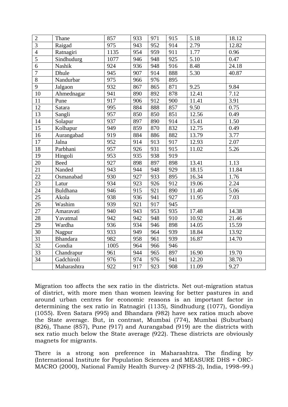| $\overline{2}$ | Thane           | 857  | 933 | 971 | 915 | 5.18  | 18.12 |
|----------------|-----------------|------|-----|-----|-----|-------|-------|
| 3              | Raigad          | 975  | 943 | 952 | 914 | 2.79  | 12.82 |
|                |                 |      |     |     |     |       |       |
| $\overline{4}$ | Ratnagiri       | 1135 | 954 | 959 | 911 | 1.77  | 0.96  |
| $\overline{5}$ | Sindhudurg      | 1077 | 946 | 948 | 925 | 5.10  | 0.47  |
| 6              | Nashik          | 924  | 936 | 948 | 916 | 8.48  | 24.18 |
| $\overline{7}$ | Dhule           | 945  | 907 | 914 | 888 | 5.30  | 40.87 |
| 8              | Nandurbar       | 975  | 966 | 976 | 895 |       |       |
| $\overline{9}$ | Jalgaon         | 932  | 867 | 865 | 871 | 9.25  | 9.84  |
| 10             | Ahmednagar      | 941  | 890 | 892 | 878 | 12.41 | 7.12  |
| 11             | Pune            | 917  | 906 | 912 | 900 | 11.41 | 3.91  |
| 12             | Satara          | 995  | 884 | 888 | 857 | 9.50  | 0.75  |
| 13             | Sangli          | 957  | 850 | 850 | 851 | 12.56 | 0.49  |
| 14             | Solapur         | 937  | 897 | 890 | 914 | 15.41 | 1.50  |
| 15             | Kolhapur        | 949  | 859 | 870 | 832 | 12.75 | 0.49  |
| 16             | Aurangabad      | 919  | 884 | 886 | 882 | 13.79 | 3.77  |
| 17             | Jalna           | 952  | 914 | 913 | 917 | 12.93 | 2.07  |
| 18             | Parbhani        | 957  | 926 | 931 | 915 | 11.02 | 5.26  |
| 19             | Hingoli         | 953  | 935 | 938 | 919 |       |       |
| 20             | <b>Beed</b>     | 927  | 898 | 897 | 898 | 13.41 | 1.13  |
| 21             | Nanded          | 943  | 944 | 948 | 929 | 18.15 | 11.84 |
| 22             | Osmanabad       | 930  | 927 | 933 | 895 | 16.34 | 1.76  |
| 23             | Latur           | 934  | 923 | 926 | 912 | 19.06 | 2.24  |
| 24             | Buldhana        | 946  | 915 | 921 | 890 | 11.40 | 5.06  |
| 25             | Akola           | 938  | 936 | 941 | 927 | 11.95 | 7.03  |
| 26             | Washim          | 939  | 921 | 917 | 945 |       |       |
| 27             | Amaravati       | 940  | 943 | 953 | 935 | 17.48 | 14.38 |
| 28             | Yavatmal        | 942  | 942 | 948 | 910 | 10.92 | 21.46 |
| 29             | Wardha          | 936  | 934 | 946 | 898 | 14.05 | 15.59 |
| 30             | Nagpur          | 933  | 949 | 964 | 939 | 18.84 | 13.92 |
| 31             | <b>Bhandara</b> | 982  | 958 | 961 | 939 | 16.87 | 14.70 |
| 32             | Gondia          | 1005 | 964 | 966 | 946 |       |       |
| 33             | Chandrapur      | 961  | 944 | 965 | 897 | 16.90 | 19.70 |
| 34             | Gadchiroli      | 976  | 974 | 976 | 941 | 12.20 | 38.70 |
|                | Maharashtra     | 922  | 917 | 923 | 908 | 11.09 | 9.27  |
|                |                 |      |     |     |     |       |       |

Migration too affects the sex ratio in the districts. Net out-migration status of district, with more men than women leaving for better pastures in and around urban centres for economic reasons is an important factor in determining the sex ratio in Ratnagiri (1135), Sindhudurg (1077), Gondiya (1055). Even Satara (995) and Bhandara (982) have sex ratios much above the State average. But, in contrast, Mumbai (774), Mumbai (Suburban) (826), Thane (857), Pune (917) and Aurangabad (919) are the districts with sex ratio much below the State average (922). These districts are obviously magnets for migrants.

There is a strong son preference in Maharashtra. The finding by (International Institute for Population Sciences and MEASURE DHS + ORC-MACRO (2000), National Family Health Survey-2 (NFHS-2), India, 1998–99.)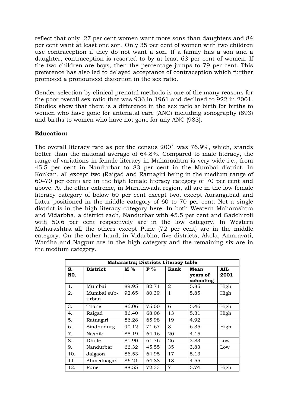reflect that only 27 per cent women want more sons than daughters and 84 per cent want at least one son. Only 35 per cent of women with two children use contraception if they do not want a son. If a family has a son and a daughter, contraception is resorted to by at least 63 per cent of women. If the two children are boys, then the percentage jumps to 79 per cent. This preference has also led to delayed acceptance of contraception which further promoted a pronounced distortion in the sex ratio.

Gender selection by clinical prenatal methods is one of the many reasons for the poor overall sex ratio that was 936 in 1961 and declined to 922 in 2001. Studies show that there is a difference in the sex ratio at birth for births to women who have gone for antenatal care (ANC) including sonography (893) and births to women who have not gone for any ANC (983).

#### **Education:**

The overall literacy rate as per the census 2001 was 76.9%, which, stands better than the national average of 64.8%. Compared to male literacy, the range of variations in female literacy in Maharashtra is very wide i.e., from 45.5 per cent in Nandurbar to 83 per cent in the Mumbai district. In Konkan, all except two (Raigad and Ratnagiri being in the medium range of 60–70 per cent) are in the high female literacy category of 70 per cent and above. At the other extreme, in Marathwada region, all are in the low female literacy category of below 60 per cent except two, except Aurangabad and Latur positioned in the middle category of 60 to 70 per cent. Not a single district is in the high literacy category here. In both Western Maharashtra and Vidarbha, a district each, Nandurbar with 45.5 per cent and Gadchiroli with 50.6 per cent respectively are in the low category. In Western Maharashtra all the others except Pune (72 per cent) are in the middle category. On the other hand, in Vidarbha, five districts, Akola, Amaravati, Wardha and Nagpur are in the high category and the remaining six are in the medium category.

| Maharastra; Districts Literacy table |                      |       |                |                |                               |                    |  |  |  |
|--------------------------------------|----------------------|-------|----------------|----------------|-------------------------------|--------------------|--|--|--|
| S.<br>NO.                            | <b>District</b>      | $M\%$ | F <sup>0</sup> | Rank           | Mean<br>years of<br>schooling | <b>AIL</b><br>2001 |  |  |  |
| 1.                                   | Mumbai               | 89.95 | 82.71          | 2              | 5.85                          | High               |  |  |  |
| 2.                                   | Mumbai sub-<br>urban | 92.65 | 80.39          | 1              | 5.85                          | High               |  |  |  |
| 3.                                   | Thane                | 86.06 | 75.00          | 6              | 5.46                          | High               |  |  |  |
| 4.                                   | Raigad               | 86.40 | 68.06          | 13             | 5.31                          | High               |  |  |  |
| 5.                                   | Ratnagiri            | 86.28 | 65.98          | 19             | 4.92                          |                    |  |  |  |
| 6.                                   | Sindhudurg           | 90.12 | 71.67          | 8              | 6.35                          | High               |  |  |  |
| 7.                                   | Nashik               | 85.19 | 64.16          | 20             | 4.15                          |                    |  |  |  |
| 8.                                   | Dhule                | 81.90 | 61.76          | 26             | 3.83                          | Low                |  |  |  |
| 9.                                   | Nandurbar            | 66.32 | 45.55          | 35             | 3.83                          | Low                |  |  |  |
| 10.                                  | Jalgaon              | 86.53 | 64.95          | 17             | 5.13                          |                    |  |  |  |
| 11.                                  | Ahmednagar           | 86.21 | 64.88          | 18             | 4.55                          |                    |  |  |  |
| 12.                                  | Pune                 | 88.55 | 72.33          | $\overline{7}$ | 5.74                          | High               |  |  |  |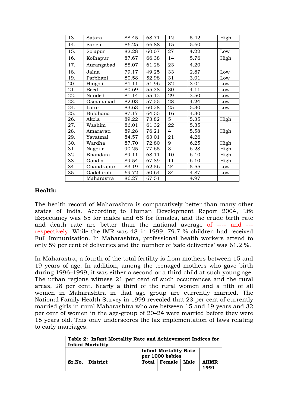| 13. | Satara          | 88.45 | 68.71 | 12             | 5.42 | High |
|-----|-----------------|-------|-------|----------------|------|------|
| 14. | Sangli          | 86.25 | 66.88 | 15             | 5.60 |      |
| 15. | Solapur         | 82.28 | 60.07 | 27             | 4.22 | Low  |
| 16. | Kolhapur        | 87.67 | 66.38 | 14             | 5.76 | High |
| 17. | Aurangabad      | 85.07 | 61.28 | 23             | 4.20 |      |
| 18. | Jalna           | 79.17 | 49.25 | 33             | 2.87 | Low  |
| 19. | Parbhani        | 80.58 | 52.98 | 31             | 3.01 | Low  |
| 20. | Hingoli         | 81.11 | 51.96 | 32             | 3.01 | Low  |
| 21. | Beed            | 80.69 | 55.38 | 30             | 4.11 | Low  |
| 22. | Nanded          | 81.14 | 55.12 | 29             | 3.50 | Low  |
| 23. | Osmanabad       | 82.03 | 57.55 | 28             | 4.24 | Low  |
| 24. | Latur           | 83.63 | 60.28 | 25             | 5.30 | Low  |
| 25. | <b>Buldhana</b> | 87.17 | 64.55 | 16             | 4.30 |      |
| 26. | Akola           | 89.22 | 73.82 | 5              | 5.35 | High |
| 27. | Washim          | 86.01 | 61.32 | 22             | 5.35 |      |
| 28. | Amaravati       | 89.28 | 76.21 | $\overline{4}$ | 5.58 | High |
| 29. | Yavatmal        | 84.57 | 63.01 | 21             | 4.26 |      |
| 30. | Wardha          | 87.70 | 72.80 | 9              | 6.25 | High |
| 31. | Nagpur          | 90.25 | 77.65 | 3              | 6.28 | High |
| 32. | Bhandara        | 89.11 | 68.11 | 10             | 6.10 | High |
| 33. | Gondia          | 89.54 | 67.89 | 11             | 6.10 | High |
| 34. | Chandrapur      | 83.19 | 62.56 | 24             | 5.55 | Low  |
| 35. | Gadchiroli      | 69.72 | 50.64 | 34             | 4.87 | Low  |
|     | Maharastra      | 86.27 | 67.51 |                | 4.97 |      |

#### **Health:**

The health record of Maharashtra is comparatively better than many other states of India. According to Human Development Report 2004, Life Expectancy was 65 for males and 68 for females, and the crude birth rate and death rate are better than the national average of ---- and -- respectively. While the IMR was 48 in 1999, 79.7 % children had received Full Immunization. In Maharashtra, professional health workers attend to only 59 per cent of deliveries and the number of 'safe deliveries' was 61.2 %.

In Maharastra, a fourth of the total fertility is from mothers between 15 and 19 years of age. In addition, among the teenaged mothers who gave birth during 1996–1999, it was either a second or a third child at such young age. The urban regions witness 21 per cent of such occurrences and the rural areas, 28 per cent. Nearly a third of the rural women and a fifth of all women in Maharashtra in that age group are currently married. The National Family Health Survey in 1999 revealed that 23 per cent of currently married girls in rural Maharashtra who are between 15 and 19 years and 32 per cent of women in the age-group of 20–24 were married before they were 15 years old. This only underscores the lax implementation of laws relating to early marriages.

| Table 2: Infant Mortality Rate and Achievement Indices for |                                                 |  |                   |  |                      |  |  |  |  |
|------------------------------------------------------------|-------------------------------------------------|--|-------------------|--|----------------------|--|--|--|--|
| <b>Infant Mortality</b>                                    |                                                 |  |                   |  |                      |  |  |  |  |
|                                                            | <b>Infant Mortality Rate</b><br>per 1000 babies |  |                   |  |                      |  |  |  |  |
|                                                            | Sr.No.   District                               |  | Total Female Male |  | <b>AIIMR</b><br>1991 |  |  |  |  |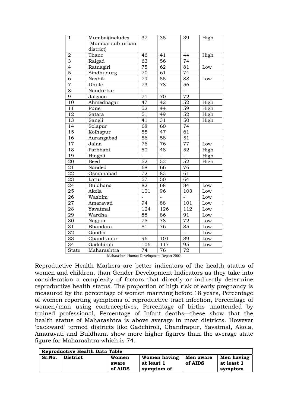| 1               | Mumbai(includes  | 37               | 35              | 39               | High |
|-----------------|------------------|------------------|-----------------|------------------|------|
|                 | Mumbai sub-urban |                  |                 |                  |      |
|                 | district)        |                  |                 |                  |      |
| $\mathbf 2$     | Thane            | 46               | 41              | 44               | High |
| 3               | Raigad           | 63               | 56              | $\overline{74}$  |      |
| $\overline{4}$  | Ratnagiri        | 75               | 62              | 81               | Low  |
| $\overline{5}$  | Sindhudurg       | $\overline{70}$  | $\overline{61}$ | 74               |      |
| $\overline{6}$  | Nashik           | 79               | $\overline{55}$ | $\overline{88}$  | Low  |
| $\overline{7}$  | Dhule            | 73               | 78              | 56               |      |
| $\overline{8}$  | Nandurbar        |                  |                 |                  |      |
| $\overline{9}$  | Jalgaon          | $\overline{71}$  | 70              | $\overline{72}$  |      |
| 10              | Ahmednagar       | 47               | 42              | 52               | High |
| 11              | Pune             | $\overline{52}$  | $\overline{44}$ | 59               | High |
| 12              | Satara           | $\overline{51}$  | 49              | $\overline{52}$  | High |
| 13              | Sangli           | $\overline{41}$  | 31              | $\overline{50}$  | High |
| $\overline{14}$ | Solapur          | $\overline{68}$  | $\overline{60}$ | 74               |      |
| $\overline{15}$ | Kolhapur         | $\overline{55}$  | 47              | $\overline{61}$  |      |
| $\overline{16}$ | Aurangabad       | $\overline{56}$  | 58              | $\overline{51}$  |      |
| 17              | Jalna            | 76               | 76              | 77               | Low  |
| 18              | Parbhani         | $\overline{50}$  | 48              | 52               | High |
| 19              | Hingoli          |                  |                 |                  | High |
| 20              | <b>Beed</b>      | 52               | 52              | 52               | High |
| $\overline{21}$ | Nanded           | 68               | 66              | 76               |      |
| $\overline{22}$ | Osmanabad        | 72               | 83              | 61               |      |
| $\overline{23}$ | Latur            | $\overline{57}$  | $\overline{50}$ | 64               |      |
| $\overline{24}$ | Buldhana         | 82               | 68              | 84               | Low  |
| 25              | Akola            | 101              | 96              | 103              | Low  |
| $\overline{26}$ | Washim           |                  | $\overline{a}$  | $\overline{a}$   | Low  |
| $\overline{27}$ | Amaravati        | 94               | 88              | 101              | Low  |
| $\overline{28}$ | Yavatmal         | $\overline{124}$ | 126             | $\overline{112}$ | Low  |
| 29              | Wardha           | 88               | 86              | 91               | Low  |
| $\overline{30}$ | Nagpur           | 75               | 78              | $\overline{72}$  | Low  |
| $\overline{31}$ | Bhandara         | $\overline{81}$  | 76              | 85               | Low  |
| $\overline{32}$ | Gondia           |                  |                 |                  | Low  |
| $\overline{33}$ | Chandrapur       | 96               | 101             | 89               | Low  |
| 34              | Gadchiroli       | 106              | 117             | 95               | Low  |
| <b>State</b>    | Maharashtra      | $\overline{74}$  | 76              | $\overline{72}$  |      |

Maharashtra Human Development Report 2002

Reproductive Health Markers are better indicators of the health status of women and children, than Gender Development Indicators as they take into consideration a complexity of factors that directly or indirectly determine reproductive health status. The proportion of high risk of early pregnancy is measured by the percentage of women marrying before 18 years, Percentage of women reporting symptoms of reproductive tract infection, Percentage of women/man using contraceptives, Percentage of births unattended by trained professional, Percentage of Infant deaths—these show that the health status of Maharashtra is above average in most districts. However 'backward' termed districts like Gadchiroli, Chandrapur, Yavatmal, Akola, Amaravati and Buldhana show more higher figures than the average state figure for Maharashtra which is 74.

| Reproductive Health Data Table |                 |                           |                                                 |                      |                                     |  |  |  |  |
|--------------------------------|-----------------|---------------------------|-------------------------------------------------|----------------------|-------------------------------------|--|--|--|--|
| Sr.No.                         | <b>District</b> | Women<br>aware<br>of AIDS | <b>Women having</b><br>at least 1<br>symptom of | Men aware<br>of AIDS | Men having<br>at least 1<br>symptom |  |  |  |  |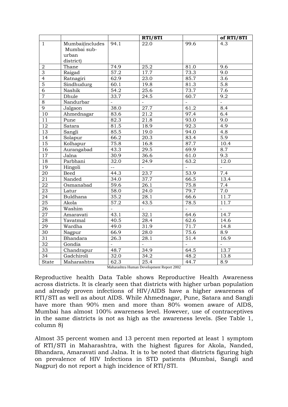|                 |                 |                | RTI/STI |                   | of RTI/STI       |
|-----------------|-----------------|----------------|---------|-------------------|------------------|
| $\mathbf{1}$    | Mumbai(includes | 94.1           | 22.0    | 99.6              | 4.3              |
|                 | Mumbai sub-     |                |         |                   |                  |
|                 | urban           |                |         |                   |                  |
|                 | district)       |                |         |                   |                  |
| 2               | Thane           | 74.9           | 25.2    | 81.0              | 9.6              |
| $\overline{3}$  | Raigad          | 57.2           | 17.7    | 73.3              | $\overline{9.0}$ |
| $\overline{4}$  | Ratnagiri       | 62.9           | 23.0    | 85.7              | $\overline{3.6}$ |
| $\overline{5}$  | Sindhudurg      | 60.1           | 19.8    | 81.3              | $\overline{5.8}$ |
| $\overline{6}$  | Nashik          | 54.2           | 25.6    | 73.7              | 7.6              |
| $\overline{7}$  | Dhule           | 33.7           | 24.5    | 60.7              | $\overline{9.2}$ |
| $\overline{8}$  | Nandurbar       |                |         |                   |                  |
| 9               | Jalgaon         | 38.0           | 27.7    | 61.2              | 8.4              |
| 10              | Ahmednagar      | 83.6           | 21.2    | 97.4              | $\overline{6.4}$ |
| $\overline{11}$ | Pune            | 82.3           | 21.8    | 93.0              | 9.0              |
| 12              | Satara          | 81.5           | 18.9    | 92.3              | 4.9              |
| 13              | Sangli          | 85.5           | 19.0    | 94.0              | 4.8              |
| 14              | Solapur         | 66.2           | 20.3    | 83.4              | $\overline{5.9}$ |
| $\overline{15}$ | Kolhapur        | 75.8           | 16.8    | 87.7              | 10.4             |
| $\overline{16}$ | Aurangabad      | 43.3           | 29.5    | 69.9              | $\overline{8.7}$ |
| $\overline{17}$ | Jalna           | 30.9           | 36.6    | 61.0              | 9.3              |
| 18              | Parbhani        | 32.0           | 24.9    | 63.2              | 12.0             |
| $\overline{19}$ | Hingoli         | $\overline{a}$ |         |                   |                  |
| 20              | <b>Beed</b>     | 44.3           | 23.7    | 53.9              | 7.4              |
| 21              | Nanded          | 34.0           | 37.7    | 66.5              | 13.4             |
| 22              | Osmanabad       | 59.6           | 26.1    | 75.8              | 7.4              |
| 23              | Latur           | 58.0           | 24.0    | 79.7              | 7.0              |
| 24              | Buldhana        | 35.2           | 28.1    | 66.6              | 11.7             |
| $\overline{25}$ | Akola           | 57.2           | 43.5    | 78.5              | 11.7             |
| 26              | Washim          |                |         |                   |                  |
| 27              | Amaravati       | 43.1           | 32.1    | 64.6              | 14.7             |
| 28              | Yavatmal        | 40.5           | 28.4    | 62.6              | 14.6             |
| 29              | Wardha          | 49.0           | 31.9    | 71.7              | 14.8             |
| 30              | Nagpur          | 66.9           | 28.0    | 75.6              | 8.9              |
| 31              | <b>Bhandara</b> | 26.3           | 28.1    | $\overline{51.4}$ | 16.9             |
| 32              | Gondia          |                |         |                   |                  |
| $3\overline{3}$ | Chandrapur      | 48.7           | 34.9    | 64.5              | 13.7             |
| $\overline{34}$ | Gadchiroli      | 32.0           | 34.2    | 48.2              | 13.8             |
| <b>State</b>    | Maharashtra     | 62.3           | 25.4    | 44.7              | 8.9              |

Maharashtra Human Development Report 2002

Reproductive health Data Table shows Reproductive Health Awareness across districts. It is clearly seen that districts with higher urban population and already proven infections of HIV/AIDS have a higher awareness of RTI/STI as well as about AIDS. While Ahmednagar, Pune, Satara and Sangli have more than 90% men and more than 80% women aware of AIDS, Mumbai has almost 100% awareness level. However, use of contraceptives in the same districts is not as high as the awareness levels. (See Table 1, column 8)

Almost 35 percent women and 13 percent men reported at least 1 symptom of RTI/STI in Maharashtra, with the highest figures for Akola, Nanded, Bhandara, Amaravati and Jalna. It is to be noted that districts figuring high on prevalence of HIV Infections in STD patients (Mumbai, Sangli and Nagpur) do not report a high incidence of RTI/STI.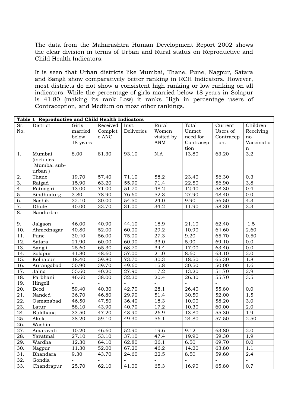The data from the Maharashtra Human Development Report 2002 shows the clear division in terms of Urban and Rural status on Reproductive and Child Health Indicators.

It is seen that Urban districts like Mumbai, Thane, Pune, Nagpur, Satara and Sangli show comparatively better ranking in RCH Indicators. However, most districts do not show a consistent high ranking or low ranking on all indicators. While the percentage of girls married below 18 years in Solapur is 41.80 (making its rank Low) it ranks High in percentage users of Contraception, and Medium on most other rankings.

|                   | Table 1 Reproductive and Child Health Indicators |          |                          |                    |                   |                    |                          |                  |
|-------------------|--------------------------------------------------|----------|--------------------------|--------------------|-------------------|--------------------|--------------------------|------------------|
| Sr.               | District                                         | Girls    | Received                 | Inst.              | Rural             | Total              | Current                  | Children         |
| No.               |                                                  | married  | Complet                  | <b>Deliveries</b>  | Women             | Unmet              | Users of                 | Receiving        |
|                   |                                                  | below    | e ANC                    |                    | visited by        | need for           | Contracep                | no               |
|                   |                                                  | 18 years |                          |                    | <b>ANM</b>        | Contracep          | tion.                    | Vaccinatio       |
|                   |                                                  |          |                          |                    |                   | tion               |                          | n                |
| 1.                | Mumbai                                           | 8.00     | 81.30                    | $\overline{93.10}$ | N.A               | 13.80              | 63.20                    | $\overline{3.2}$ |
|                   | <i>(includes</i>                                 |          |                          |                    |                   |                    |                          |                  |
|                   | Mumbai sub-                                      |          |                          |                    |                   |                    |                          |                  |
|                   | urban)                                           |          |                          |                    |                   |                    |                          |                  |
| 2.                | Thane                                            | 19.70    | 57.40                    | 71.10              | 58.2              | 23.40              | 56.30                    | 0.3              |
| $\overline{3}$ .  | Raigad                                           | 15.90    | $\overline{63.20}$       | 55.90              | 71.4              | 22.50              | 56.90                    | $\overline{3.8}$ |
| 4.                | Ratnagiri                                        | 13.00    | 71.00                    | 51.70              | 48.2              | 12.40              | 58.30                    | 0.4              |
| 5.                | Sindhudurg                                       | 3.80     | 78.90                    | 76.60              | $\overline{52.3}$ | 27.90              | 48.40                    | 0.0              |
| 6.                | Nashik                                           | 32.10    | 30.00                    | 54.50              | $\overline{24.0}$ | 9.90               | 56.50                    | $\overline{4.3}$ |
| 7.                | Dhule                                            | 40.00    | 33.70                    | 31.00              | 34.2              | 11.90              | 58.30                    | $\overline{3.3}$ |
| 8.                | Nandurbar                                        | $\equiv$ | $\overline{\phantom{a}}$ | $\equiv$           |                   | $\frac{1}{2}$      | $\overline{\phantom{a}}$ |                  |
| 9.                | Jalgaon                                          | 46.00    | 40.90                    | 44.10              | 18.9              | $\overline{21.10}$ | 62.40                    | 1.5              |
| 10.               | Ahmednagar                                       | 40.80    | 52.00                    | 60.00              | 29.2              | 10.90              | 64.60                    | 2.60             |
| 11.               | Pune                                             | 30.40    | 56.00                    | 75.00              | $\overline{27.3}$ | 9.20               | 65.70                    | 0.50             |
| $\overline{12}$ . | Satara                                           | 21.90    | 60.00                    | 60.90              | 33.0              | 5.90               | 69.10                    | 0.0              |
| $\overline{13}$ . | Sangli                                           | 25.60    | 65.30                    | 68.70              | 34.4              | 17.00              | 63.40                    | $\overline{0.0}$ |
| 14.               | Solapur                                          | 41.80    | 48.60                    | 57.00              | $\overline{21.0}$ | 8.60               | 63.10                    | $\overline{2.0}$ |
| $\overline{15}$ . | Kolhapur                                         | 18.40    | 59.80                    | 73.70              | 30.3              | 18.50              | 65.30                    | 1.8              |
| 16.               | Aurangabad                                       | 50.90    | 39.70                    | 49.60              | 15.8              | 30.50              | 50.00                    | $\overline{1.6}$ |
| 17.               | Jalna                                            | 55.60    | 40.20                    | 27.90              | 17.2              | 13.20              | 51.70                    | $\overline{2.9}$ |
| 18.               | Parbhani                                         | 46.60    | 38.00                    | 32.30              | 20.4              | 26.30              | 55.70                    | $\overline{3.5}$ |
| 19.               | Hingoli                                          |          | $\overline{a}$           | $\overline{a}$     | $\overline{a}$    | $\overline{a}$     | $\overline{a}$           |                  |
| $\overline{20}$ . | Beed                                             | 59.40    | 40.30                    | 42.70              | $\overline{28.1}$ | 26.40              | 55.80                    | 0.0              |
| $\overline{21}$   | Nanded                                           | 36.70    | 46.80                    | 29.90              | 51.4              | 30.50              | 52.00                    | 1.5              |
| $\overline{22}$ . | Osmanabad                                        | 46.50    | 47.50                    | 36.40              | 18.3              | 10.00              | 58.20                    | $\overline{3.0}$ |
| 23.               | Latur                                            | 58.10    | 43.90                    | 40.70              | 17.2              | 10.30              | 60.00                    | 2.0              |
| $\overline{24}$ . | Buldhana                                         | 33.50    | 47.20                    | 43.90              | $\overline{26.9}$ | 13.80              | 55.30                    | 1.9              |
| $\overline{25}$ . | Akola                                            | 38.20    | 59.10                    | 49.30              | 56.1              | 24.80              | 57.50                    | 2.50             |
| 26.               | Washim                                           |          |                          |                    |                   | $\frac{1}{2}$      |                          |                  |
| 27.               | Amaravati                                        | 10.20    | 46.60                    | 52.90              | 19.6              | 9.12               | 63.80                    | 2.0              |
| 28.               | Yavatmal                                         | 27.10    | 53.10                    | 37.10              | 47.4              | 19.90              | 59.30                    | $\overline{1.9}$ |
| 29.               | Wardha                                           | 12.30    | 64.10                    | 62.80              | 26.1              | 6.50               | 69.70                    | 0.0              |
| $\overline{30}$ . | Nagpur                                           | 11.30    | $\overline{5}2.00$       | 67.20              | $\frac{1}{46.2}$  | 14.20              | 63.80                    | $\overline{1.1}$ |
| $\overline{31}$ . | Bhandara                                         | 9.30     | 43.70                    | 24.60              | 22.5              | 8.50               | 59.60                    | 2.4              |
| $\overline{32}$ . | Gondia                                           |          |                          |                    |                   | $\overline{a}$     |                          |                  |
| $\overline{33}$ . | Chandrapur                                       | 25.70    | 62.10                    | 41.00              | 65.3              | 16.90              | 65.80                    | 0.7              |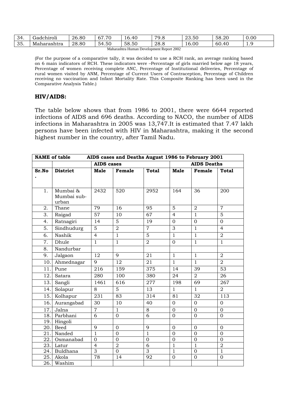| 34<br>. .  | $\cdot$ $\cdot$<br>.adchiroli | 26.80 | $\sim$ $\sim$<br>$\overline{r}$<br>67<br>◡     | 40<br>$\cdot$                           | 70<br><b>.U</b>       | $\mathsf{r} \cap$<br>$\cap$<br>23.50 | $\Gamma$ $\Omega$<br>റ<br>58.ZU | 0.00 |
|------------|-------------------------------|-------|------------------------------------------------|-----------------------------------------|-----------------------|--------------------------------------|---------------------------------|------|
| つに<br>ັບບ. | Maharashtra                   | 28.80 | $ \lambda$<br>$\sim$ $\sim$<br>54<br>-<br>+.JU | $\sim$ $\sim$<br>$\sim$ $\sim$<br>58.50 | 28.8                  | 0.00                                 | 60.40                           | .    |
|            |                               |       | . .                                            |                                         | 0.002<br>$\mathbf{r}$ |                                      |                                 |      |

Maharashtra Human Development Report 2002

(For the purpose of a comparative tally, it was decided to use a RCH rank, an average ranking based on 6 main indicators of RCH. These indicators were –Percentage of girls married below age 18 years, Percentage of women receiving complete ANC, Percentage of Institutional deliveries, Percentage of rural women visited by ANM, Percentage of Current Users of Contraception, Percentage of Children receiving no vaccination and Infant Mortality Rate. This Composite Ranking has been used in the Comparative Analysis Table.)

#### **HIV/AIDS:**

The table below shows that from 1986 to 2001, there were 6644 reported infections of AIDS and 696 deaths. According to NACO, the number of AIDS infections in Maharashtra in 2005 was 13,747.It is estimated that 7.47 lakh persons have been infected with HIV in Maharashtra, making it the second highest number in the country, after Tamil Nadu.

| AIDS cases and Deaths August 1986 to February 2001<br><b>NAME</b> of table |                 |                   |                 |                 |                  |                    |                  |
|----------------------------------------------------------------------------|-----------------|-------------------|-----------------|-----------------|------------------|--------------------|------------------|
|                                                                            |                 | <b>AIDS</b> cases |                 |                 |                  | <b>AIDS Deaths</b> |                  |
| Sr.No                                                                      | <b>District</b> | Male              | Female          | <b>Total</b>    | <b>Male</b>      | Female             | <b>Total</b>     |
|                                                                            |                 |                   |                 |                 |                  |                    |                  |
|                                                                            |                 |                   |                 |                 |                  |                    |                  |
| 1.                                                                         | Mumbai &        | 2432              | 520             | 2952            | 164              | 36                 | 200              |
|                                                                            | Mumbai sub-     |                   |                 |                 |                  |                    |                  |
|                                                                            | urban           |                   |                 |                 |                  |                    |                  |
| 2.                                                                         | Thane           | 79                | 16              | 95              | $\overline{5}$   | $\overline{2}$     | $\overline{7}$   |
| 3.                                                                         | Raigad          | 57                | 10              | $\overline{67}$ | $\overline{4}$   | $\mathbf{1}$       | $\overline{5}$   |
| 4.                                                                         | Ratnagiri       | $\overline{14}$   | $\overline{5}$  | $\overline{19}$ | $\overline{0}$   | $\overline{0}$     | $\overline{0}$   |
| 5.                                                                         | Sindhudurg      | 5                 | $\overline{2}$  | $\overline{7}$  | $\overline{3}$   | $\mathbf{1}$       | $\overline{4}$   |
| 6.                                                                         | Nashik          | $\overline{4}$    | $\overline{1}$  | $\overline{5}$  | $\mathbf{1}$     | $\mathbf{1}$       | $\overline{2}$   |
| 7.                                                                         | Dhule           | $\mathbf{1}$      | $\mathbf{1}$    | $\overline{2}$  | $\overline{0}$   | $\mathbf{1}$       | $\mathbf{1}$     |
| 8.                                                                         | Nandurbar       |                   |                 |                 |                  |                    |                  |
| 9.                                                                         | Jalgaon         | $\overline{12}$   | $\overline{9}$  | 21              | $\overline{1}$   | $\overline{1}$     | $\overline{2}$   |
| 10.                                                                        | Ahmednagar      | 9                 | 12              | 21              | $\mathbf{1}$     | $\mathbf{1}$       | $\overline{2}$   |
| 11.                                                                        | Pune            | 216               | 159             | 375             | 14               | 39                 | 53               |
| 12.                                                                        | Satara          | 280               | 100             | 380             | $\overline{24}$  | $\overline{2}$     | $\overline{26}$  |
| 13.                                                                        | Sangli          | 1461              | 616             | 277             | 198              | 69                 | $\overline{267}$ |
| 14.                                                                        | Solapur         | 8                 | 5               | 13              | $\mathbf{1}$     | $\mathbf{1}$       | $\overline{2}$   |
| 15.                                                                        | Kolhapur        | 231               | 83              | 314             | 81               | 32                 | 113              |
| 16.                                                                        | Aurangabad      | 30                | 10              | 40              | $\overline{0}$   | $\overline{0}$     | $\mathbf{0}$     |
| 17.                                                                        | Jalna           | $\overline{7}$    | $\overline{1}$  | $\overline{8}$  | $\overline{0}$   | $\overline{0}$     | $\overline{0}$   |
| 18.                                                                        | Parbhani        | 6                 | $\overline{0}$  | 6               | $\overline{0}$   | $\mathbf{0}$       | $\Omega$         |
|                                                                            | 19. Hingoli     |                   |                 |                 |                  |                    |                  |
| 20.                                                                        | Beed            | 9                 | $\overline{0}$  | 9               | $\boldsymbol{0}$ | $\mathbf{0}$       | $\overline{0}$   |
| 21.                                                                        | Nanded          | $\mathbf{1}$      | $\overline{0}$  | $\mathbf{1}$    | $\overline{0}$   | $\mathbf 0$        | $\overline{0}$   |
| 22.                                                                        | Osmanabad       | $\mathbf{0}$      | $\overline{0}$  | $\Omega$        | $\overline{0}$   | $\overline{0}$     | $\mathbf{0}$     |
|                                                                            | 23. Latur       | $\overline{4}$    | $\overline{2}$  | 6               | $\overline{1}$   | $\mathbf{1}$       | $\overline{2}$   |
|                                                                            | 24. Buldhana    | 3                 | $\overline{0}$  | 3               | $\mathbf{1}$     | $\Omega$           | $\mathbf{1}$     |
| 25.                                                                        | Akola           | $\overline{78}$   | $\overline{14}$ | $\overline{92}$ | $\overline{0}$   | $\overline{0}$     | $\overline{0}$   |
|                                                                            | 26. Washim      |                   |                 |                 |                  |                    |                  |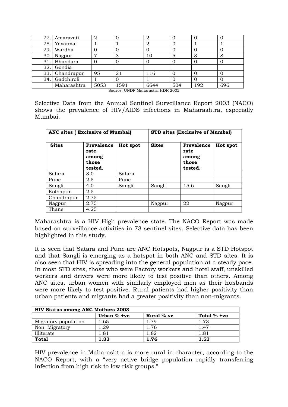| 27. | Amaravati      | 2    |      |      |     |     |     |
|-----|----------------|------|------|------|-----|-----|-----|
| 28. | Yavatmal       |      |      |      |     |     |     |
| 29. | Wardha         |      |      |      |     |     |     |
|     | 30. Nagpur     | ⇁    |      | 10   | 5   |     |     |
|     | 31. Bhandara   | O    |      |      |     |     |     |
|     | 32. Gondia     |      |      |      |     |     |     |
|     | 33. Chandrapur | 95   | 21   | 116  |     |     |     |
|     | 34. Gadchiroli |      |      |      |     |     |     |
|     | Maharashtra    | 5053 | 1591 | 6644 | 504 | 192 | 696 |

Source: UNDP Maharastra HDR 2002

Selective Data from the Annual Sentinel Surveillance Report 2003 (NACO) shows the prevalence of HIV/AIDS infections in Maharashtra, especially Mumbai.

| ANC sites (Exclusive of Mumbai) |                                                        |          | <b>STD sites (Exclusive of Mumbai)</b> |                                                        |          |  |
|---------------------------------|--------------------------------------------------------|----------|----------------------------------------|--------------------------------------------------------|----------|--|
| <b>Sites</b>                    | <b>Prevalence</b><br>rate<br>among<br>those<br>tested. | Hot spot | <b>Sites</b>                           | <b>Prevalence</b><br>rate<br>among<br>those<br>tested. | Hot spot |  |
| Satara                          | 3.0                                                    | Satara   |                                        |                                                        |          |  |
| Pune                            | 2.5                                                    | Pune     |                                        |                                                        |          |  |
| Sangli                          | 4.0                                                    | Sangli   | Sangli                                 | 15.6                                                   | Sangli   |  |
| Kolhapur                        | 2.5                                                    |          |                                        |                                                        |          |  |
| Chandrapur                      | 2.75                                                   |          |                                        |                                                        |          |  |
| Nagpur                          | 2.75                                                   |          | Nagpur                                 | 22                                                     | Nagpur   |  |
| Thane                           | 4.25                                                   |          |                                        |                                                        |          |  |

Maharashtra is a HIV High prevalence state. The NACO Report was made based on surveillance activities in 73 sentinel sites. Selective data has been highlighted in this study.

It is seen that Satara and Pune are ANC Hotspots, Nagpur is a STD Hotspot and that Sangli is emerging as a hotspot in both ANC and STD sites. It is also seen that HIV is spreading into the general population at a steady pace. In most STD sites, those who were Factory workers and hotel staff, unskilled workers and drivers were more likely to test positive than others. Among ANC sites, urban women with similarly employed men as their husbands were more likely to test positive. Rural patients had higher positivity than urban patients and migrants had a greater positivity than non-migrants.

| <b>HIV Status among ANC Mothers 2003</b> |               |              |               |  |  |
|------------------------------------------|---------------|--------------|---------------|--|--|
|                                          | Urban $%$ +ve | Rural $%$ ve | Total $% +ve$ |  |  |
| Migratory population                     | 1.65          | 1.79         | 1.73          |  |  |
| Non Migratory                            | .29           | 1.76         | 1.47          |  |  |
| Illiterate                               | 1.81          | 1.82         | 1.81          |  |  |
| <b>Total</b>                             | 1.33          | 1.76         | 1.52          |  |  |

HIV prevalence in Maharashtra is more rural in character, according to the NACO Report, with a "very active bridge population rapidly transferring infection from high risk to low risk groups."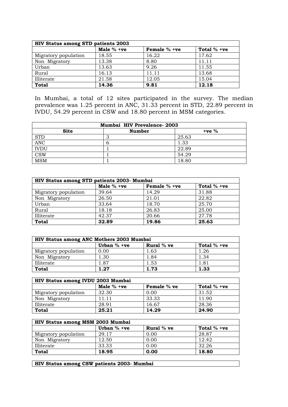| HIV Status among STD patients 2003 |            |              |               |  |  |  |
|------------------------------------|------------|--------------|---------------|--|--|--|
|                                    | Male % +ve | Female % +ve | Total $% +ve$ |  |  |  |
| Migratory population               | 18.55      | 16.22        | 17.62         |  |  |  |
| Non Migratory                      | 13.38      | 8.80         | 11.11         |  |  |  |
| Urban                              | 13.63      | 9.26         | 11.55         |  |  |  |
| Rural                              | 16.13      | 11.11        | 13.68         |  |  |  |
| Illiterate                         | 21.58      | 12.05        | 15.04         |  |  |  |
| <b>Total</b>                       | 14.36      | 9.81         | 12.18         |  |  |  |

In Mumbai, a total of 12 sites participated in the survey. The median prevalence was 1.25 percent in ANC, 31.33 percent in STD, 22.89 percent in IVDU, 54.29 percent in CSW and 18.80 percent in MSM categories.

| Mumbai HIV Prevalence-2003              |  |       |  |  |  |  |
|-----------------------------------------|--|-------|--|--|--|--|
| <b>Site</b><br><b>Number</b><br>$+ve %$ |  |       |  |  |  |  |
| <b>STD</b>                              |  | 25.63 |  |  |  |  |
| <b>ANC</b>                              |  | 1.33  |  |  |  |  |
| <b>IVDU</b>                             |  | 22.89 |  |  |  |  |
| $\overline{\text{CSW}}$                 |  | 54.29 |  |  |  |  |
| <b>MSM</b>                              |  | 18.80 |  |  |  |  |

| HIV Status among STD patients 2003- Mumbai |              |              |               |  |  |  |
|--------------------------------------------|--------------|--------------|---------------|--|--|--|
|                                            | Male $%$ +ve | Female % +ve | Total $% +ve$ |  |  |  |
| Migratory population                       | 39.64        | 14.29        | 31.88         |  |  |  |
| Non Migratory                              | 26.50        | 21.01        | 22.82         |  |  |  |
| Urban                                      | 33.64        | 18.70        | 25.70         |  |  |  |
| Rural                                      | 18.18        | 26.83        | 25.00         |  |  |  |
| Illiterate                                 | 42.37        | 20.66        | 27.78         |  |  |  |
| <b>Total</b>                               | 32.89        | 19.86        | 25.63         |  |  |  |

| HIV Status among ANC Mothers 2003 Mumbai |               |            |               |  |  |
|------------------------------------------|---------------|------------|---------------|--|--|
|                                          | Urban $% +ve$ | Rural % ve | Total $%$ +ve |  |  |
| Migratory population                     | 0.00          | l.63       | 1.26          |  |  |
| Non Migratory                            | 1.30          | 1.84       | 1.34          |  |  |
| Illiterate                               | 1.87          | 1.53       | 1.81          |  |  |
| <b>Total</b>                             | 1.27          | 1.73       | 1.33          |  |  |

| HIV Status among IVDU 2003 Mumbai |              |             |               |  |  |  |
|-----------------------------------|--------------|-------------|---------------|--|--|--|
|                                   | Male $%$ +ve | Female % ve | Total $%$ +ve |  |  |  |
| Migratory population              | 32.30        | 0.00        | 31.52         |  |  |  |
| Non Migratory                     | 11.11        | 33.33       | 11.90         |  |  |  |
| Illiterate                        | 28.91        | 16.67       | 28.36         |  |  |  |
| <b>Total</b>                      | 25.21        | 14.29       | 24.90         |  |  |  |

| HIV Status among MSM 2003 Mumbai |               |            |               |  |  |  |
|----------------------------------|---------------|------------|---------------|--|--|--|
|                                  | Urban $%$ +ve | Rural % ve | Total $% +ve$ |  |  |  |
| Migratory population             | 29.17         | 0.00       | 28.87         |  |  |  |
| Non Migratory                    | 12.50         | 0.00       | 12.42         |  |  |  |
| Illiterate                       | 33.33         | 0.00       | 32.26         |  |  |  |
| <b>Total</b>                     | 18.95         | 0.00       | 18.80         |  |  |  |

**HIV Status among CSW patients 2003- Mumbai**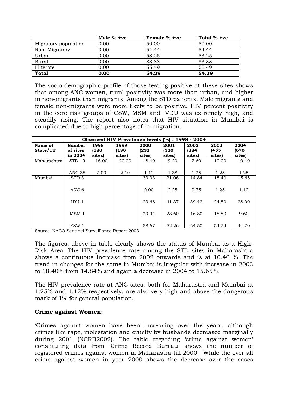|                      | Male $% +ve$ | Female $% +ve$ | Total $% +ve$ |
|----------------------|--------------|----------------|---------------|
| Migratory population | 0.00         | 50.00          | 50.00         |
| Non Migratory        | 0.00         | 54.44          | 54.44         |
| Urban                | 0.00         | 53.25          | 53.25         |
| Rural                | 0.00         | 83.33          | 83.33         |
| Illiterate           | 0.00         | 55.49          | 55.49         |
| <b>Total</b>         | 0.00         | 54.29          | 54.29         |

The socio-demographic profile of those testing positive at these sites shows that among ANC women, rural positivity was more than urban, and higher in non-migrants than migrants. Among the STD patients, Male migrants and female non-migrants were more likely to be positive. HIV percent positivity in the core risk groups of CSW, MSM and IVDU was extremely high, and steadily rising. The report also notes that HIV situation in Mumbai is complicated due to high percentage of in-migration.

| Observed HIV Prevalence levels (%) : 1998 - 2004 |                               |                         |                         |                         |                         |                        |                        |                        |
|--------------------------------------------------|-------------------------------|-------------------------|-------------------------|-------------------------|-------------------------|------------------------|------------------------|------------------------|
| Name of<br>State/UT                              | Number<br>of sites<br>in 2004 | 1998<br>(180)<br>sites) | 1999<br>(180)<br>sites) | 2000<br>(232)<br>sites) | 2001<br>(320)<br>sites) | 2002<br>(384<br>sites) | 2003<br>(455<br>sites) | 2004<br>(670<br>sites) |
| Maharashtra                                      | STD <sub>9</sub>              | 16.00                   | 20.00                   | 18.40                   | 9.20                    | 7.60                   | 10.00                  | 10.40                  |
|                                                  | <b>ANC 35</b>                 | 2.00                    | 2.10                    | 1.12                    | 1.38                    | 1.25                   | 1.25                   | 1.25                   |
| Mumbai                                           | STD <sub>3</sub>              |                         |                         | 33.33                   | 21.06                   | 14.84                  | 18.40                  | 15.65                  |
|                                                  | ANC 6                         |                         |                         | 2.00                    | 2.25                    | 0.75                   | 1.25                   | 1.12                   |
|                                                  | IDU 1                         |                         |                         | 23.68                   | 41.37                   | 39.42                  | 24.80                  | 28.00                  |
|                                                  | MSM <sub>1</sub>              |                         |                         | 23.94                   | 23.60                   | 16.80                  | 18.80                  | 9.60                   |
|                                                  | FSW 1                         |                         |                         | 58.67                   | 52.26                   | 54.50                  | 54.29                  | 44.70                  |

Source: NACO Sentinel Surveillance Report 2003

The figures, above in table clearly shows the status of Mumbai as a High-Risk Area. The HIV prevalence rate among the STD sites in Maharashtra shows a continuous increase from 2002 onwards and is at 10.40 %. The trend in changes for the same in Mumbai is irregular with increase in 2003 to 18.40% from 14.84% and again a decrease in 2004 to 15.65%.

The HIV prevalence rate at ANC sites, both for Maharastra and Mumbai at 1.25% and 1.12% respectively, are also very high and above the dangerous mark of 1% for general population.

#### **Crime against Women:**

'Crimes against women have been increasing over the years, although crimes like rape, molestation and cruelty by husbands decreased marginally during 2001 (NCRB2002). The table regarding 'crime against women' constituting data from 'Crime Record Bureau' shows the number of registered crimes against women in Maharastra till 2000. While the over all crime against women in year 2000 shows the decrease over the cases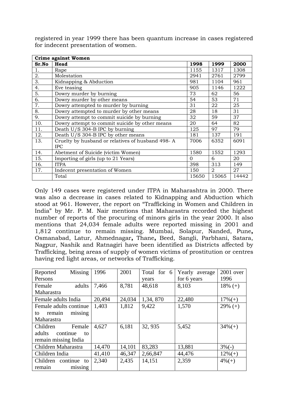|       | <b>Crime against Women</b>                                     |          |                |       |  |  |  |  |
|-------|----------------------------------------------------------------|----------|----------------|-------|--|--|--|--|
| Sr.No | Head                                                           | 1998     | 1999           | 2000  |  |  |  |  |
| 1.    | Rape                                                           | 1155     | 1317           | 1308  |  |  |  |  |
| 2.    | Molestation                                                    | 2941     | 2761           | 2799  |  |  |  |  |
| 3.    | Kidnapping & Abduction                                         | 981      | 1104           | 961   |  |  |  |  |
| 4.    | Eve teasing                                                    | 905      | 1146           | 1222  |  |  |  |  |
| 5.    | Dowry murder by burning                                        | 73       | 62             | 56    |  |  |  |  |
| 6.    | Dowry murder by other means                                    | 54       | 53             | 71    |  |  |  |  |
| 7.    | Dowry attempted to murder by burning                           | 31       | 22             | 25    |  |  |  |  |
| 8.    | Dowry attempted to murder by other means                       | 28       | 18             | 31    |  |  |  |  |
| 9.    | Dowry attempt to commit suicide by burning                     | 32       | 59             | 37    |  |  |  |  |
| 10.   | Dowry attempt to commit suicide by other means                 | 20       | 64             | 82    |  |  |  |  |
| 11.   | Death U/S 304-B IPC by burning                                 | 125      | 97             | 79    |  |  |  |  |
| 12.   | Death U/S 304-B IPC by other means                             | 181      | 137            | 191   |  |  |  |  |
| 13.   | Cruelty by husband or relatives of husband 498-A<br><b>IPC</b> | 7006     | 6352           | 6091  |  |  |  |  |
| 14.   | Abetment of Suicide (victim Women)                             | 1580     | 1552           | 1293  |  |  |  |  |
| 15.   | Importing of girls (up to 21 Years)                            | $\Omega$ | 6              | 20    |  |  |  |  |
| 16.   | <b>ITPA</b>                                                    | 398      | 313            | 149   |  |  |  |  |
| 17.   | Indecent presentation of Women                                 | 150      | $\mathfrak{D}$ | 27    |  |  |  |  |
|       | Total                                                          | 15650    | 15065          | 14442 |  |  |  |  |

registered in year 1999 there has been quantum increase in cases registered for indecent presentation of women.

Only 149 cases were registered under ITPA in Maharashtra in 2000. There was also a decrease in cases related to Kidnapping and Abduction which stood at 961. However, the report on "Trafficking in Women and Children in India" by Mr. P. M. Nair mentions that Maharastra recorded the highest number of reports of the procuring of minors girls in the year 2000. It also mentions that 24,034 female adults were reported missing in 2001 and 1,812 continue to remain missing. Mumbai, Solapur, Nanded, Pune**,**  Osmanabad, Latur, Ahmednagar**,** Thane**,** Beed, Sangli, Parbhani, Satara, Nagpur, Nashik and Ratnagiri have been identified as Districts affected by Trafficking, being areas of supply of women victims of prostitution or centres having red light areas, or networks of Trafficking.

| Reported               | Missing | 1996   | 2001   | Total for 6 | Yearly average | 2001 over  |
|------------------------|---------|--------|--------|-------------|----------------|------------|
| Persons                |         |        |        | years       | for 6 years    | 1996       |
| Female                 | adults  | 7,466  | 8,781  | 48,618      | 8,103          | $18\% (+)$ |
| Maharastra             |         |        |        |             |                |            |
| Female adults India    |         | 20,494 | 24,034 | 1,34,870    | 22,480         | $17\%(+)$  |
| Female adults continue |         | 1,403  | 1,812  | 9,422       | 1,570          | $29\% (+)$ |
| remain<br>to           | missing |        |        |             |                |            |
| Maharastra             |         |        |        |             |                |            |
| Children               | Female  | 4,627  | 6,181  | 32, 935     | 5,452          | $34\%(+)$  |
| adults<br>continue     | to      |        |        |             |                |            |
| remain missing India   |         |        |        |             |                |            |
| Children Maharastra    |         | 14,470 | 14,101 | 83,283      | 13,881         | $3\%(-)$   |
| Children India         |         | 41,410 | 46,347 | 2,66,847    | 44,476         | $12\%(+)$  |
| Children continue to   |         | 2,340  | 2,435  | 14,151      | 2,359          | $4\%(+)$   |
| remain                 | missing |        |        |             |                |            |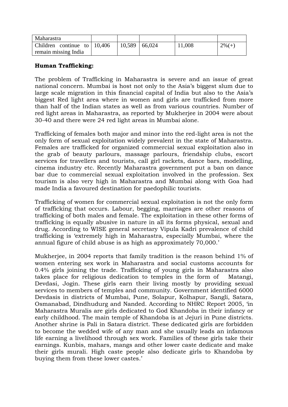| Maharastra                    |                 |        |          |
|-------------------------------|-----------------|--------|----------|
| Children continue to $10,406$ | $10,589$ 66,024 | 11,008 | $2\%(+)$ |
| remain missing India          |                 |        |          |

#### **Human Trafficking:**

The problem of Trafficking in Maharastra is severe and an issue of great national concern. Mumbai is host not only to the Asia's biggest slum due to large scale migration in this financial capital of India but also to the Asia's biggest Red light area where in women and girls are trafficked from more than half of the Indian states as well as from various countries. Number of red light areas in Maharastra, as reported by Mukherjee in 2004 were about 30-40 and there were 24 red light areas in Mumbai alone.

Trafficking of females both major and minor into the red-light area is not the only form of sexual exploitation widely prevalent in the state of Maharastra. Females are trafficked for organized commercial sexual exploitation also in the grab of beauty parlours, massage parlours, friendship clubs, escort services for travellers and tourists, call girl rackets, dance bars, modelling, cinema industry etc. Recently Maharastra government put a ban on dance bar due to commercial sexual exploitation involved in the profession. Sex tourism is also very high in Maharastra and Mumbai along with Goa had made India a favoured destination for paedophilic tourists.

Trafficking of women for commercial sexual exploitation is not the only form of trafficking that occurs. Labour, begging, marriages are other reasons of trafficking of both males and female. The exploitation in these other forms of trafficking is equally abusive in nature in all its forms physical, sexual and drug. According to WISE general secretary Vipula Kadri prevalence of child trafficking is 'extremely high in Maharastra, especially Mumbai, where the annual figure of child abuse is as high as approximately 70,000.'

Mukherjee, in 2004 reports that family tradition is the reason behind 1% of women entering sex work in Maharastra and social customs accounts for 0.4% girls joining the trade. Trafficking of young girls in Maharastra also takes place for religious dedication to temples in the form of Matangi, Devdasi, Jogin. These girls earn their living mostly by providing sexual services to members of temples and community. Government identified 6000 Devdasis in districts of Mumbai, Pune, Solapur, Kolhapur, Sangli, Satara, Osmanabad, Dindhudurg and Nanded. According to NHRC Report 2005, 'in Maharastra Muralis are girls dedicated to God Khandoba in their infancy or early childhood. The main temple of Khandoba is at Jejuri in Pune districts. Another shrine is Pali in Satara district. These dedicated girls are forbidden to become the wedded wife of any man and she usually leads an infamous life earning a livelihood through sex work. Families of these girls take their earnings. Kunbis, mahars, mangs and other lower caste dedicate and make their girls murali. High caste people also dedicate girls to Khandoba by buying them from these lower castes.'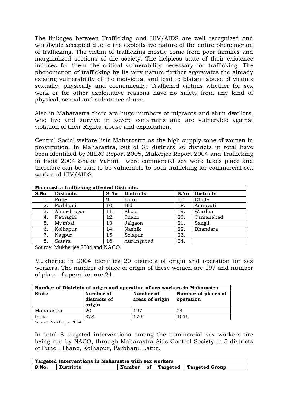The linkages between Trafficking and HIV/AIDS are well recognized and worldwide accepted due to the exploitative nature of the entire phenomenon of trafficking. The victim of trafficking mostly come from poor families and marginalized sections of the society. The helpless state of their existence induces for them the critical vulnerability necessary for trafficking. The phenomenon of trafficking by its very nature further aggravates the already existing vulnerability of the individual and lead to blatant abuse of victims sexually, physically and economically. Trafficked victims whether for sex work or for other exploitative reasons have no safety from any kind of physical, sexual and substance abuse.

Also in Maharastra there are huge numbers of migrants and slum dwellers, who live and survive in severe constrains and are vulnerable against violation of their Rights, abuse and exploitation.

Central Social welfare lists Maharastra as the high supply zone of women in prostitution. In Maharastra, out of 35 districts 26 districts in total have been identified by NHRC Report 2005, Mukerjee Report 2004 and Trafficking in India 2004 Shakti Vahini, were commercial sex work takes place and therefore can be said to be vulnerable to both trafficking for commercial sex work and HIV/AIDS.

| Maharastra trafficking affected Districts. |                  |      |                  |      |                  |
|--------------------------------------------|------------------|------|------------------|------|------------------|
| S.No                                       | <b>Districts</b> | S.No | <b>Districts</b> | S.No | <b>Districts</b> |
| 1.                                         | Pune             | 9.   | Latur            | 17.  | Dhule            |
| 2.                                         | Parbhani         | 10.  | Bid              | 18.  | Amravati         |
| 3.                                         | Ahmednagar       | 11.  | Akola            | 19.  | Wardha           |
| 4.                                         | Ratnagiri        | 12.  | Thane            | 20.  | Osmanabad        |
| 5.                                         | Mumbai           | 13   | Jalgaon          | 21.  | Sangli           |
| 6.                                         | Kolhapur         | 14.  | Nashik           | 22.  | Bhandara         |
| 7.                                         | Nagpur.          | 15   | Solapur          | 23.  |                  |
| 8.                                         | Satara           | 16.  | Aurangabad       | 24.  |                  |

Source: Mukherjee 2004 and NACO.

Mukherjee in 2004 identifies 20 districts of origin and operation for sex workers. The number of place of origin of these women are 197 and number of place of operation are 24.

| Number of Districts of origin and operation of sex workers in Maharastra |                                     |                              |                                  |  |  |  |
|--------------------------------------------------------------------------|-------------------------------------|------------------------------|----------------------------------|--|--|--|
| <b>State</b>                                                             | Number of<br>districts of<br>origin | Number of<br>areas of origin | Number of places of<br>operation |  |  |  |
| Maharastra                                                               | 20                                  | 197                          | 24                               |  |  |  |
| India                                                                    | 378                                 | 1794                         | 1016                             |  |  |  |

Source: Mukherjee 2004.

In total 8 targeted interventions among the commercial sex workers are being run by NACO, through Maharastra Aids Control Society in 5 districts of Pune , Thane, Kolhapur, Parbhani, Latur.

|       | Targeted Interventions in Maharastra with sex workers |        |  |                            |
|-------|-------------------------------------------------------|--------|--|----------------------------|
| S.No. | Districts                                             | Number |  | of Targeted Targeted Group |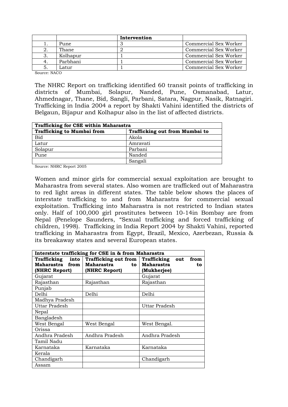|    |          | Intervention |                       |
|----|----------|--------------|-----------------------|
|    | Pune     |              | Commercial Sex Worker |
|    | Thane    |              | Commercial Sex Worker |
|    | Kolhapur |              | Commercial Sex Worker |
|    | Parbhani |              | Commercial Sex Worker |
| 5. | Latur    |              | Commercial Sex Worker |

Source: NACO

The NHRC Report on trafficking identified 60 transit points of trafficking in districts of Mumbai, Solapur, Nanded, Pune, Osmanabad, Latur, Ahmednagar, Thane, Bid, Sangli, Parbani, Satara, Nagpur, Nasik, Ratnagiri. Trafficking in India 2004 a report by Shakti Vahini identified the districts of Belgaun, Bijapur and Kolhapur also in the list of affected districts.

| Trafficking for CSE within Maharastra |                                |  |  |  |
|---------------------------------------|--------------------------------|--|--|--|
| <b>Trafficking to Mumbai from</b>     | Trafficking out from Mumbai to |  |  |  |
| Bid                                   | Akola                          |  |  |  |
| Latur                                 | Amravati                       |  |  |  |
| Solapur                               | Parbani                        |  |  |  |
| Pune                                  | Nanded                         |  |  |  |
|                                       | Sangali                        |  |  |  |

Source: NHRC Report 2005

Women and minor girls for commercial sexual exploitation are brought to Maharastra from several states. Also women are trafficked out of Maharastra to red light areas in different states. The table below shows the places of interstate trafficking to and from Maharastra for commercial sexual exploitation. Trafficking into Maharastra is not restricted to Indian states only. Half of 100,000 girl prostitutes between 10-14in Bombay are from Nepal (Penelope Saunders, "Sexual trafficking and forced trafficking of children, 1998). Trafficking in India Report 2004 by Shakti Vahini, reported trafficking in Maharastra from Egypt, Brazil, Mexico, Azerbezan, Russia & its breakaway states and several European states.

| Interstate trafficking for CSE in & from Maharastra |                  |                            |  |  |  |  |  |
|-----------------------------------------------------|------------------|----------------------------|--|--|--|--|--|
| <b>Trafficking out from</b><br>Trafficking<br>into  |                  | Trafficking<br>from<br>out |  |  |  |  |  |
| Maharastra from                                     | Maharastra<br>to | Maharastra<br>to           |  |  |  |  |  |
| (NHRC Report)                                       | (NHRC Report)    | (Mukherjee)                |  |  |  |  |  |
| Gujarat                                             |                  | Gujarat                    |  |  |  |  |  |
| Rajasthan                                           | Rajasthan        | Rajasthan                  |  |  |  |  |  |
| Punjab                                              |                  |                            |  |  |  |  |  |
| Delhi                                               | Delhi            | Delhi                      |  |  |  |  |  |
| Madhya Pradesh                                      |                  |                            |  |  |  |  |  |
| <b>Uttar Pradesh</b>                                |                  | Uttar Pradesh              |  |  |  |  |  |
| Nepal                                               |                  |                            |  |  |  |  |  |
| Bangladesh                                          |                  |                            |  |  |  |  |  |
| West Bengal                                         | West Bengal      | West Bengal.               |  |  |  |  |  |
| Orissa                                              |                  |                            |  |  |  |  |  |
| Andhra Pradesh                                      | Andhra Pradesh   | Andhra Pradesh             |  |  |  |  |  |
| Tamil Nadu                                          |                  |                            |  |  |  |  |  |
| Karnataka                                           | Karnataka        | Karnataka                  |  |  |  |  |  |
| Kerala                                              |                  |                            |  |  |  |  |  |
| Chandigarh                                          |                  | Chandigarh                 |  |  |  |  |  |
| Assam                                               |                  |                            |  |  |  |  |  |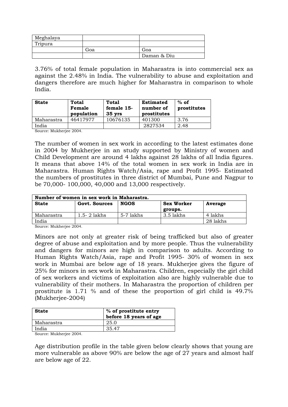| Meghalaya |     |             |
|-----------|-----|-------------|
| Tripura   |     |             |
|           | Goa | Goa         |
|           |     | Daman & Diu |

3.76% of total female population in Maharastra is into commercial sex as against the 2.48% in India. The vulnerability to abuse and exploitation and dangers therefore are much higher for Maharastra in comparison to whole India.

| <b>State</b> | <b>Total</b><br>Female<br>population | Total<br>female 15-<br>$35 \, \text{vrs}$ | <b>Estimated</b><br>number of<br>prostitutes | $%$ of<br>prostitutes |
|--------------|--------------------------------------|-------------------------------------------|----------------------------------------------|-----------------------|
| Maharastra   | 46417977                             | 10676135                                  | 401300                                       | 3.76                  |
| India        |                                      |                                           | 2827534                                      | 2.48                  |

Source: Mukherjee 2004.

The number of women in sex work in according to the latest estimates done in 2004 by Mukherjee in an study supported by Ministry of women and Child Development are around 4 lakhs against 28 lakhs of all India figures. It means that above 14% of the total women in sex work in India are in Maharastra. Human Rights Watch/Asia, rape and Profit 1995- Estimated the numbers of prostitutes in three district of Mumbai, Pune and Nagpur to be 70,000- 100,000, 40,000 and 13,000 respectively.

| Number of women in sex work in Maharastra. |                              |             |                   |          |  |  |  |  |  |
|--------------------------------------------|------------------------------|-------------|-------------------|----------|--|--|--|--|--|
| <b>State</b>                               | Govt. Sources<br><b>NGOS</b> |             | <b>Sex Worker</b> | Average  |  |  |  |  |  |
|                                            |                              |             | groups.           |          |  |  |  |  |  |
| Maharastra                                 | $1.5 - 2$ lakhs              | $5-7$ lakhs | 3.5 lakhs         | 4 lakhs  |  |  |  |  |  |
| India                                      |                              |             |                   | 28 lakhs |  |  |  |  |  |
| -----                                      | $\sim$ $\sim$ $\sim$ $\sim$  |             |                   |          |  |  |  |  |  |

Source: Mukherjee 2004.

Minors are not only at greater risk of being trafficked but also of greater degree of abuse and exploitation and by more people. Thus the vulnerability and dangers for minors are high in comparison to adults. According to Human Rights Watch/Asia, rape and Profit 1995- 30% of women in sex work in Mumbai are below age of 18 years. Mukherjee gives the figure of 25% for minors in sex work in Maharastra. Children, especially the girl child of sex workers and victims of exploitation also are highly vulnerable due to vulnerability of their mothers. In Maharastra the proportion of children per prostitute is 1.71 % and of these the proportion of girl child is 49.7% (Mukherjee-2004)

| <b>State</b> | % of prostitute entry<br>before 18 years of age |
|--------------|-------------------------------------------------|
| Maharastra   | 25.0                                            |
| India        | 35.47                                           |

Source: Mukherjee 2004.

Age distribution profile in the table given below clearly shows that young are more vulnerable as above 90% are below the age of 27 years and almost half are below age of 22.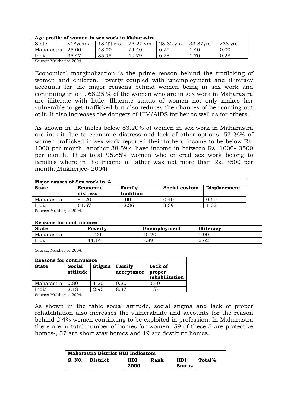| Age profile of women in sex work in Maharastra. |                            |              |                     |            |           |            |  |  |  |  |
|-------------------------------------------------|----------------------------|--------------|---------------------|------------|-----------|------------|--|--|--|--|
| <b>State</b>                                    | $\langle$ 18 $\gamma$ ears | $18-22$ yrs. | $\sqrt{23-27}$ yrs. | 28-32 yrs. | 33-37yrs. | $>38$ vrs. |  |  |  |  |
| Maharastra                                      | 25.00                      | 43.00        | 24.40               | 6.20       | .40       | 0.00       |  |  |  |  |
| India                                           | 35.47                      | 35.98        | 19.79               | 6.78       |           | 0.28       |  |  |  |  |
| ______<br>-----                                 | - - - -                    |              |                     |            |           |            |  |  |  |  |

Source: Mukherjee 2004.

Economical marginalization is the prime reason behind the trafficking of women and children. Poverty coupled with unemployment and illiteracy accounts for the major reasons behind women being in sex work and continuing into it. 68.25 % of the women who are in sex work in Maharastra are illiterate with little. Illiterate status of women not only makes her vulnerable to get trafficked but also reduces the chances of her coming out of it. It also increases the dangers of HIV/AIDS for her as well as for others.

As shown in the tables below 83.20% of women in sex work in Maharastra are into it due to economic distress and lack of other options. 57.26% of women trafficked in sex work reported their fathers income to be below Rs. 1000 per month, another 38.59% have income in between Rs. 1000- 3500 per month. Thus total 95.85% women who entered sex work belong to families where in the income of father was not more than Rs. 3500 per month.(Mukherjee- 2004)

| Major causes of Sex work in % |                                                  |               |                     |  |  |  |  |  |  |
|-------------------------------|--------------------------------------------------|---------------|---------------------|--|--|--|--|--|--|
| Economic<br>distress          | Family<br>tradition                              | Social custom | <b>Displacement</b> |  |  |  |  |  |  |
| 83.20                         | 00.1                                             | 0.40          | 0.60                |  |  |  |  |  |  |
| 61.67                         | 12.36                                            | 3.39          | . 02                |  |  |  |  |  |  |
|                               | $\mathcal{L}_{\text{OIPOO}}$ , Multhoriae $9004$ |               |                     |  |  |  |  |  |  |

Source: Mukherjee 2004.

| Reasons for continuance |         |              |                   |  |  |  |  |  |  |
|-------------------------|---------|--------------|-------------------|--|--|--|--|--|--|
| <b>State</b>            | Poverty | Unemployment | <b>Illiteracy</b> |  |  |  |  |  |  |
| Maharastra              | 55.20   | 10.20        | 0.00              |  |  |  |  |  |  |
| India                   | 44.14   | 7.89         | 5.62              |  |  |  |  |  |  |

Source: Mukherjee 2004.

| Reasons for continuance |                    |        |                      |                                     |  |  |  |  |  |
|-------------------------|--------------------|--------|----------------------|-------------------------------------|--|--|--|--|--|
| <b>State</b>            | Social<br>attitude | Stigma | Family<br>acceptance | Lack of<br>proper<br>rehabilitation |  |  |  |  |  |
| Maharastra              | 0.80               | .20    | 0.20                 | 0.40                                |  |  |  |  |  |
| India                   | 2.18               | 2.95   | 8.37                 | -74                                 |  |  |  |  |  |

Source: Mukherjee 2004.

As shown in the table social attitude, social stigma and lack of proper rehabilitation also increases the vulnerability and accounts for the reason behind 2.4% women continuing to be exploited in profession. In Maharastra there are in total number of homes for women- 59 of these 3 are protective homes-, 37 are short stay homes and 19 are destitute homes.

| <b>Maharastra District HDI Indicators</b> |                 |                    |      |                      |        |  |  |  |  |
|-------------------------------------------|-----------------|--------------------|------|----------------------|--------|--|--|--|--|
| S. NO.                                    | <b>District</b> | <b>HDI</b><br>2000 | Rank | HDI<br><b>Status</b> | Total% |  |  |  |  |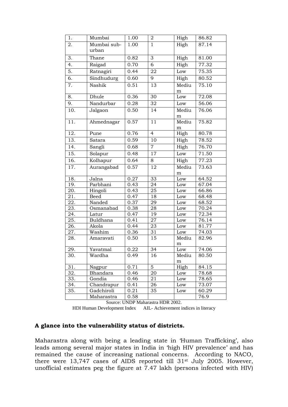| 1.  | Mumbai      | 1.00              | $\overline{2}$  | High      | 86.82 |
|-----|-------------|-------------------|-----------------|-----------|-------|
| 2.  | Mumbai sub- | 1.00              | $\overline{1}$  | High      | 87.14 |
|     | urban       |                   |                 |           |       |
| 3.  | Thane       | 0.82              | 3               | High      | 81.00 |
| 4.  | Raigad      | $\overline{0.70}$ | 6               | High      | 77.32 |
| 5.  | Ratnagiri   | 0.44              | 22              | Low       | 75.35 |
| 6.  | Sindhudurg  | 0.60              | 9               | High      | 80.52 |
| 7.  | Nashik      | 0.51              | 13              | Mediu     | 75.10 |
|     |             |                   |                 | m         |       |
| 8.  | Dhule       | 0.36              | $\overline{30}$ | Low       | 72.08 |
| 9.  | Nandurbar   | 0.28              | 32              | Low       | 56.06 |
| 10. | Jalgaon     | 0.50              | 14              | Mediu     | 76.06 |
|     |             |                   |                 | m         |       |
| 11. | Ahmednagar  | 0.57              | 11              | Mediu     | 75.82 |
|     |             |                   |                 | m         |       |
| 12. | Pune        | 0.76              | $\overline{4}$  | High      | 80.78 |
| 13. | Satara      | 0.59              | 10              | High      | 78.52 |
| 14. | Sangli      | 0.68              | $\overline{7}$  | High      | 76.70 |
| 15. | Solapur     | 0.48              | $\overline{17}$ | Low       | 71.50 |
| 16. | Kolhapur    | 0.64              | 8               | High      | 77.23 |
| 17. | Aurangabad  | 0.57              | 12              | Mediu     | 73.63 |
|     |             |                   |                 | ${\rm m}$ |       |
| 18. | Jalna       | 0.27              | 33              | Low       | 64.52 |
| 19. | Parbhani    | 0.43              | 24              | Low       | 67.04 |
| 20. | Hingoli     | 0.43              | 25              | Low       | 66.86 |
| 21. | <b>Beed</b> | 0.47              | 18              | Low       | 68.48 |
| 22. | Nanded      | 0.37              | 29              | Low       | 68.52 |
| 23. | Osmanabad   | 0.38              | 28              | Low       | 70.24 |
| 24. | Latur       | 0.47              | 19              | Low       | 72.34 |
| 25. | Buldhana    | 0.41              | 27              | Low       | 76.14 |
| 26. | Akola       | 0.44              | 23              | Low       | 81.77 |
| 27. | Washim      | 0.36              | 31              | Low       | 74.03 |
| 28. | Amaravati   | 0.50              | 15              | Mediu     | 82.96 |
|     |             |                   |                 | m         |       |
| 29  | Yavatmal    | 0.22              | 34              | Low       | 74.06 |
| 30. | Wardha      | 0.49              | 16              | Mediu     | 80.50 |
|     |             |                   |                 | m         |       |
| 31. | Nagpur      | 0.71              | 5               | High      | 84.15 |
| 32. | Bhandara    | 0.46              | 20              | Low       | 78.68 |
| 33. | Gondia      | 0.46              | 21              | Low       | 78.65 |
| 34. | Chandrapur  | 0.41              | 26              | Low       | 73.07 |
| 35. | Gadchiroli  | 0.21              | 35              | Low       | 60.29 |
|     | Maharastra  | 0.58              |                 |           | 76.9  |

Source: UNDP Maharastra HDR 2002.

HDI Human Development Index AIL- Achievement indices in literacy

#### **A glance into the vulnerability status of districts.**

Maharastra along with being a leading state in 'Human Trafficking', also leads among several major states in India in 'high HIV prevalence' and has remained the cause of increasing national concerns. According to NACO, there were 13,747 cases of AIDS reported till 31st July 2005. However, unofficial estimates peg the figure at 7.47 lakh (persons infected with HIV)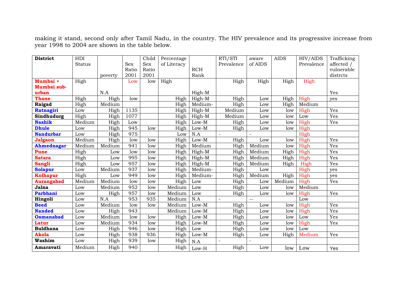making it stand, second only after Tamil Nadu, in the country. The HIV prevalence and its progressive increase from year 1998 to 2004 are shown in the table below.

| <b>District</b>   | HDI           |         |            | Child      | Percentage  |                       | RTI/STI        | aware         | <b>AIDS</b> | HIV/AIDS   | Trafficking |
|-------------------|---------------|---------|------------|------------|-------------|-----------------------|----------------|---------------|-------------|------------|-------------|
|                   | <b>Status</b> |         | <b>Sex</b> | <b>Sex</b> | of Literacy |                       | Prevalence     | of AIDS       |             | Prevalence | affected /  |
|                   |               |         | Ratio      | Ratio      |             | <b>RCH</b>            |                |               |             |            | vulnerable  |
|                   |               | poverty | 2001       | 2001       |             | Rank                  |                |               |             |            | distrcts    |
| Mumbai +          | High          |         | Low        | low        | High        |                       | High           | High          | High        | High       |             |
| Mumbai sub-       |               |         |            |            |             |                       |                |               |             |            |             |
| urban             |               | N.A     |            |            |             | High-M                |                |               |             |            | Yes         |
| <b>Thane</b>      | High          | High    | low        |            | High        | High-M                | High           | Low           | High        | High       | yes         |
| Raigad            | High          | Medium  |            |            | High        | Medium-               | High           | Low           | High        | Medium     |             |
| Ratnagiri         | Low           | High    | 1135       |            | High        | High-M                | Medium         | Low           | low         | High       | Yes         |
| Sindhudurg        | High          | High    | 1077       |            | High        | High-M                | Medium         | Low           | low         | Low        | Yes         |
| <b>Nashik</b>     | Medium        | High    | Low        |            | High        | $Low-M$               | High           | Low           | low         | High       | Yes         |
| <b>Dhule</b>      | Low           | High    | 945        | low        | High        | $Low-M$               | High           | Low           | low         | High       |             |
| <b>Nandurbar</b>  | Low           | High    | 975        |            | Low         | N.A                   |                |               |             | High       |             |
| Jalgaon           | Medium        | High    | low        | low        | High        | $Low-M$               | High           | Low           | low         | High       | Yes         |
| <b>Ahmednagar</b> | Medium        | Medium  | 941        | low        | High        | Medium                | High           | Medium        | low         | High       | Yes         |
| Pune              | High          | Low     | low        | low        | High        | High-M                | High           | Medium        | High        | High       | Yes         |
| <b>Satara</b>     | High          | Low     | 995        | low        | High        | High-M                | High           | Medium        | High        | High       | Yes         |
| <b>Sangli</b>     | High          | Low     | 957        | low        | High        | High-M                | High           | Medium        | High        | High       | Yes         |
| <b>Solapur</b>    | Low           | Medium  | 937        | low        | High        | Medium-               | High           | Low           |             | High       | yes         |
| <b>Kolhapur</b>   | High          | Low     | 949        | low        | High        | Medium-               | High           | Medium        | High        | High       | yes         |
| <b>Aurangabad</b> | Medium        | Medium  | low        | low        | High        | Low                   | High           | Low           | Medium      | High       | Yes         |
| Jalna             | Low           | Medium  | 952        | low        | Medium      | Low                   | High           | Low           | low         | Medium     |             |
| Parbhani          | Low           | High    | 957        | low        | Medium      | Low                   | High           | Low           | low         | High       | Yes         |
| Hingoli           | Low           | N.A     | 953        | 935        | Medium      | N.A                   | $\overline{a}$ | $\sim$ $\sim$ |             | Low        |             |
| <b>Beed</b>       | Low           | Medium  | low        | low        | Medium      | $Low-M$               | High           | Low           | low         | High       | Yes         |
| <b>Nanded</b>     | Low           | High    | 943        |            | Medium      | $_{\rm Low\text{-}M}$ | High           | Low           | low         | High       | Yes         |
| <b>Osmanabad</b>  | $_{\rm Low}$  | Medium  | low        | low        | High        | $Low-M$               | High           | Low           | low         | Low        | Yes         |
| <b>Latur</b>      | Low           | Medium  | 934        | low        | High        | Low-M                 | High           | Low           | low         | High       | Yes         |
| <b>Buldhana</b>   | Low           | High    | 946        | low        | High        | Low                   | High           | Low           | low         | Low        |             |
| <b>Akola</b>      | Low           | High    | 938        | 936        | High        | $Low-M$               | High           | Low           | High        | Medium     | Yes         |
| <b>Washim</b>     | Low           | High    | 939        | low        | High        | N.A                   |                |               |             |            |             |
| Amaravati         | Medium        | High    | 940        |            | High        | $Low-H$               | High           | Low           | low         | Low        | Yes         |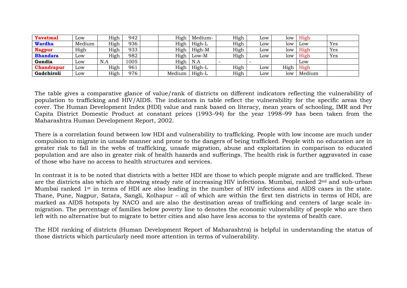| <b>Yavatmal</b>   | Low              | High | 942  | High   | Medium- | High | LOW              | low  | High   |     |
|-------------------|------------------|------|------|--------|---------|------|------------------|------|--------|-----|
| <b>Wardha</b>     | Medium           | High | 936  | High   | High-L  | High | LOW              | low  | Low    | Yes |
| <b>Nagpur</b>     | High             | High | 933  | High   | High-M  | High | LOW              | low  | High   | Yes |
| <b>Bhandara</b>   | Low              | High | 982  | High   | $Low-M$ | High | L <sub>0</sub> W | low  | High   | Yes |
| Gondia            | Low              | N.A  | 1005 | High   | N.A     |      |                  |      | Low    |     |
| <b>Chandrapur</b> | LOW              | High | 961  | High   | High-L  | High | LOW              | High | High   |     |
| Gadchiroli        | L <sub>0</sub> W | High | 976  | Medium | High-L  | High | 10W              | low  | Medium |     |

The table gives a comparative glance of value/rank of districts on different indicators reflecting the vulnerability of population to trafficking and HIV/AIDS. The indicators in table reflect the vulnerability for the specific areas they cover. The Human Development Index (HDI) value and rank based on literacy, mean years of schooling, IMR and Per Capita District Domestic Product at constant prices (1993–94) for the year 1998–99 has been taken from the Maharashtra Human Development Report, 2002.

There is a correlation found between low HDI and vulnerability to trafficking. People with low income are much under compulsion to migrate in unsafe manner and prone to the dangers of being trafficked. People with no education are in greater risk to fall in the webs of trafficking, unsafe migration, abuse and exploitation in comparison to educated population and are also in greater risk of health hazards and sufferings. The health risk is further aggravated in case of those who have no access to health structures and services.

In contrast it is to be noted that districts with a better HDI are those to which people migrate and are trafficked. These are the districts also which are showing steady rate of increasing HIV infections. Mumbai, ranked 2nd and sub-urban Mumbai ranked 1<sup>st</sup> in terms of HDI are also leading in the number of HIV infections and AIDS cases in the state. Thane, Pune, Nagpur, Satara, Sangli, Kolhapur – all of which are within the first ten districts in terms of HDI, are marked as AIDS hotspots by NACO and are also the destination areas of trafficking and centers of large scale inmigration. The percentage of families below poverty line to denotes the economic vulnerability of people who are then left with no alternative but to migrate to better cities and also have less access to the systems of health care.

The HDI ranking of districts (Human Development Report of Maharashtra) is helpful in understanding the status of those districts which particularly need more attention in terms of vulnerability.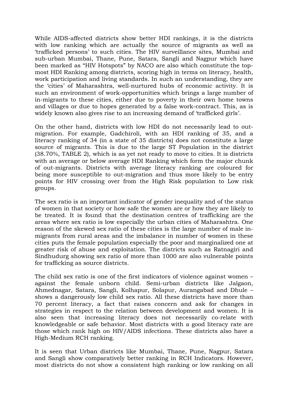While AIDS-affected districts show better HDI rankings, it is the districts with low ranking which are actually the source of migrants as well as 'trafficked persons' to such cities. The HIV surveillance sites, Mumbai and sub-urban Mumbai, Thane, Pune, Satara, Sangli and Nagpur which have been marked as "HIV Hotspots" by NACO are also which constitute the topmost HDI Ranking among districts, scoring high in terms on literacy, health, work participation and living standards. In such an understanding, they are the 'cities' of Maharashtra, well-nurtured hubs of economic activity. It is such an environment of work-opportunities which brings a large number of in-migrants to these cities, either due to poverty in their own home towns and villages or due to hopes generated by a false work-contract. This, as is widely known also gives rise to an increasing demand of 'trafficked girls'.

On the other hand, districts with low HDI do not necessarily lead to outmigration. For example, Gadchiroli, with an HDI ranking of 35, and a literacy ranking of 34 (in a state of 35 districts) does not constitute a large source of migrants. This is due to the large ST Population in the district (38.70%, TABLE 2), which is as yet not ready to move to cities. It is districts with an average or below average HDI Ranking which form the major chunk of out-migrants. Districts with average literacy ranking are coloured for being more susceptible to out-migration and thus more likely to be entry points for HIV crossing over from the High Risk population to Low risk groups.

The sex ratio is an important indicator of gender inequality and of the status of women in that society or how safe the women are or how they are likely to be treated. It is found that the destination centres of trafficking are the areas where sex ratio is low especially the urban cities of Maharashtra. One reason of the skewed sex ratio of these cities is the large number of male inmigrants from rural areas and the imbalance in number of women in these cities puts the female population especially the poor and marginalized one at greater risk of abuse and exploitation. The districts such as Ratnagiri and Sindhudurg showing sex ratio of more than 1000 are also vulnerable points for trafficking as source districts.

The child sex ratio is one of the first indicators of violence against women – against the female unborn child. Semi-urban districts like Jalgaon, Ahmednagar, Satara, Sangli, Kolhapur, Solapur, Aurangabad and Dhule – shows a dangerously low child sex ratio. All these districts have more than 70 percent literacy, a fact that raises concern and ask for changes in strategies in respect to the relation between development and women. It is also seen that increasing literacy does not necessarily co-relate with knowledgeable or safe behavior. Most districts with a good literacy rate are those which rank high on HIV/AIDS infections. These districts also have a High-Medium RCH ranking.

It is seen that Urban districts like Mumbai, Thane, Pune, Nagpur, Satara and Sangli show comparatively better ranking in RCH Indicators. However, most districts do not show a consistent high ranking or low ranking on all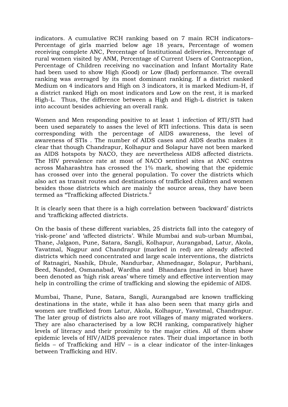indicators. A cumulative RCH ranking based on 7 main RCH indicators– Percentage of girls married below age 18 years, Percentage of women receiving complete ANC, Percentage of Institutional deliveries, Percentage of rural women visited by ANM, Percentage of Current Users of Contraception, Percentage of Children receiving no vaccination and Infant Mortality Rate had been used to show High (Good) or Low (Bad) performance. The overall ranking was averaged by its most dominant ranking. If a district ranked Medium on 4 indicators and High on 3 indicators, it is marked Medium-H, if a district ranked High on most indicators and Low on the rest, it is marked High-L. Thus, the difference between a High and High-L district is taken into account besides achieving an overall rank.

Women and Men responding positive to at least 1 infection of RTI/STI had been used separately to asses the level of RTI infections. This data is seen corresponding with the percentage of AIDS awareness, the level of awareness of STIs . The number of AIDS cases and AIDS deaths makes it clear that though Chandrapur, Kolhapur and Solapur have not been marked as AIDS hotspots by NACO, they are nevertheless AIDS affected districts. The HIV prevalence rate at most of NACO sentinel sites at ANC centres across Maharashtra has crossed the 1% mark, showing that the epidemic has crossed over into the general population. To cover the districts which also act as transit routes and destinations of trafficked children and women besides those districts which are mainly the source areas, they have been termed as "Trafficking affected Districts."

It is clearly seen that there is a high correlation between 'backward' districts and 'trafficking affected districts.

On the basis of these different variables, 25 districts fall into the category of 'risk-prone' and 'affected districts'. While Mumbai and sub-urban Mumbai, Thane, Jalgaon, Pune, Satara, Sangli, Kolhapur, Aurangabad, Latur, Akola, Yavatmal, Nagpur and Chandrapur (marked in red) are already affected districts which need concentrated and large scale interventions, the districts of Ratnagiri, Nashik, Dhule, Nandurbar, Ahmednagar, Solapur, Parbhani, Beed, Nanded, Osmanabad, Wardha and Bhandara (marked in blue) have been denoted as 'high risk areas' where timely and effective intervention may help in controlling the crime of trafficking and slowing the epidemic of AIDS.

Mumbai, Thane, Pune, Satara, Sangli, Aurangabad are known trafficking destinations in the state, while it has also been seen that many girls and women are trafficked from Latur, Akola, Kolhapur, Yavatmal, Chandrapur. The later group of districts also are root villages of many migrated workers. They are also characterised by a low RCH ranking, comparatively higher levels of literacy and their proximity to the major cities. All of them show epidemic levels of HIV/AIDS prevalence rates. Their dual importance in both fields – of Trafficking and HIV – is a clear indicator of the inter-linkages between Trafficking and HIV.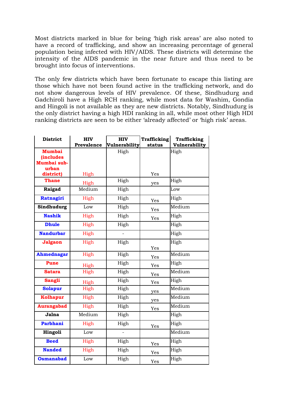Most districts marked in blue for being 'high risk areas' are also noted to have a record of trafficking, and show an increasing percentage of general population being infected with HIV/AIDS. These districts will determine the intensity of the AIDS pandemic in the near future and thus need to be brought into focus of interventions.

The only few districts which have been fortunate to escape this listing are those which have not been found active in the trafficking network, and do not show dangerous levels of HIV prevalence. Of these, Sindhudurg and Gadchiroli have a High RCH ranking, while most data for Washim, Gondia and Hingoli is not available as they are new districts. Notably, Sindhudurg is the only district having a high HDI ranking in all, while most other High HDI ranking districts are seen to be either 'already affected' or 'high risk' areas.

| <b>District</b>        | <b>HIV</b> | <b>HIV</b>    | <b>Trafficking</b> | <b>Trafficking</b> |
|------------------------|------------|---------------|--------------------|--------------------|
|                        | Prevalence | Vulnerability | status             | Vulnerability      |
| <b>Mumbai</b>          |            | High          |                    | High               |
| <i><b>includes</b></i> |            |               |                    |                    |
| Mumbai sub-            |            |               |                    |                    |
| urban                  |            |               |                    |                    |
| district)              | High       |               | Yes                |                    |
| <b>Thane</b>           | High       | High          | yes                | High               |
| Raigad                 | Medium     | High          |                    | Low                |
| Ratnagiri              | High       | High          | Yes                | High               |
| Sindhudurg             | Low        | High          | Yes                | Medium             |
| <b>Nashik</b>          | High       | High          | Yes                | High               |
| <b>Dhule</b>           | High       | High          |                    | High               |
| <b>Nandurbar</b>       | High       |               |                    | High               |
| Jalgaon                | High       | High          |                    | High               |
|                        |            |               | Yes                |                    |
| <b>Ahmednagar</b>      | High       | High          | Yes                | Medium             |
| <b>Pune</b>            | High       | High          | Yes                | High               |
| <b>Satara</b>          | High       | High          | Yes                | Medium             |
| <b>Sangli</b>          | High       | High          | Yes                | High               |
| <b>Solapur</b>         | High       | High          | yes                | Medium             |
| <b>Kolhapur</b>        | High       | High          | yes                | Medium             |
| <b>Aurangabad</b>      | High       | High          | Yes                | Medium             |
| Jalna                  | Medium     | High          |                    | High               |
| <b>Parbhani</b>        | High       | High          | Yes                | High               |
| Hingoli                | Low        |               |                    | Medium             |
| <b>Beed</b>            | High       | High          | Yes                | High               |
| <b>Nanded</b>          | High       | High          | Yes                | High               |
| <b>Osmanabad</b>       | Low        | High          | Yes                | High               |